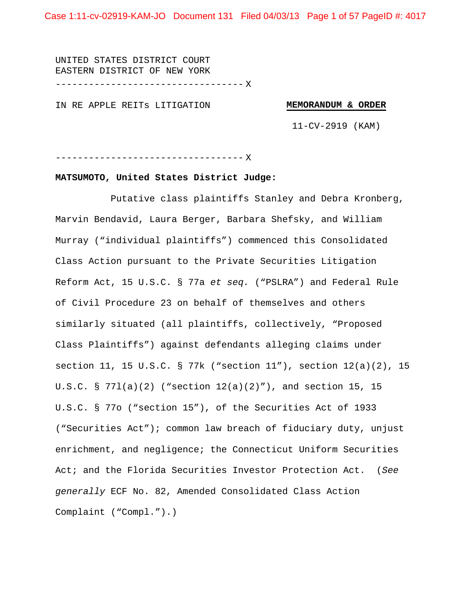UNITED STATES DISTRICT COURT EASTERN DISTRICT OF NEW YORK ---------------------------------- X

IN RE APPLE REITs LITIGATION

#### **MEMORANDUM & ORDER**

11-CV-2919 (KAM)

---------------------------------- X

## **MATSUMOTO, United States District Judge:**

Putative class plaintiffs Stanley and Debra Kronberg, Marvin Bendavid, Laura Berger, Barbara Shefsky, and William Murray ("individual plaintiffs") commenced this Consolidated Class Action pursuant to the Private Securities Litigation Reform Act, 15 U.S.C. § 77a *et seq.* ("PSLRA") and Federal Rule of Civil Procedure 23 on behalf of themselves and others similarly situated (all plaintiffs, collectively, "Proposed Class Plaintiffs") against defendants alleging claims under section 11, 15 U.S.C. § 77k ("section 11"), section 12(a)(2), 15 U.S.C. § 77l(a)(2) ("section 12(a)(2)"), and section 15, 15 U.S.C. § 77o ("section 15"), of the Securities Act of 1933 ("Securities Act"); common law breach of fiduciary duty, unjust enrichment, and negligence; the Connecticut Uniform Securities Act; and the Florida Securities Investor Protection Act. (*See generally* ECF No. 82, Amended Consolidated Class Action Complaint ("Compl.").)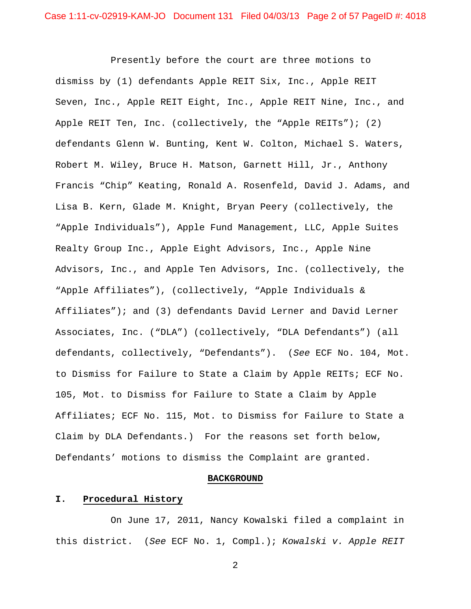Presently before the court are three motions to dismiss by (1) defendants Apple REIT Six, Inc., Apple REIT Seven, Inc., Apple REIT Eight, Inc., Apple REIT Nine, Inc., and Apple REIT Ten, Inc. (collectively, the "Apple REITs"); (2) defendants Glenn W. Bunting, Kent W. Colton, Michael S. Waters, Robert M. Wiley, Bruce H. Matson, Garnett Hill, Jr., Anthony Francis "Chip" Keating, Ronald A. Rosenfeld, David J. Adams, and Lisa B. Kern, Glade M. Knight, Bryan Peery (collectively, the "Apple Individuals"), Apple Fund Management, LLC, Apple Suites Realty Group Inc., Apple Eight Advisors, Inc., Apple Nine Advisors, Inc., and Apple Ten Advisors, Inc. (collectively, the "Apple Affiliates"), (collectively, "Apple Individuals & Affiliates"); and (3) defendants David Lerner and David Lerner Associates, Inc. ("DLA") (collectively, "DLA Defendants") (all defendants, collectively, "Defendants"). (*See* ECF No. 104, Mot. to Dismiss for Failure to State a Claim by Apple REITs; ECF No. 105, Mot. to Dismiss for Failure to State a Claim by Apple Affiliates; ECF No. 115, Mot. to Dismiss for Failure to State a Claim by DLA Defendants.) For the reasons set forth below, Defendants' motions to dismiss the Complaint are granted.

### **BACKGROUND**

### **I. Procedural History**

 On June 17, 2011, Nancy Kowalski filed a complaint in this district. (*See* ECF No. 1, Compl.); *Kowalski v. Apple REIT*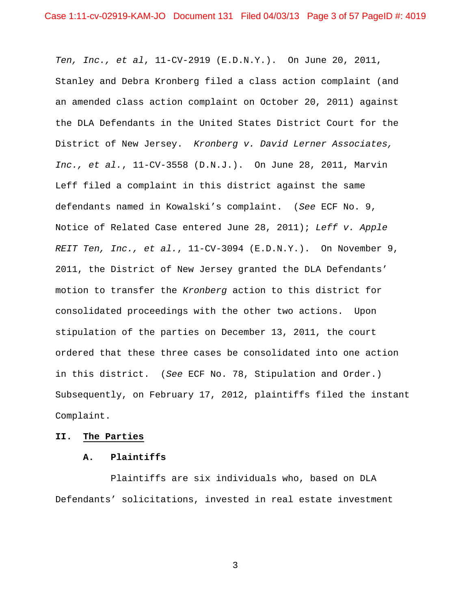*Ten, Inc., et al*, 11-CV-2919 (E.D.N.Y.). On June 20, 2011, Stanley and Debra Kronberg filed a class action complaint (and an amended class action complaint on October 20, 2011) against the DLA Defendants in the United States District Court for the District of New Jersey. *Kronberg v. David Lerner Associates, Inc., et al.*, 11-CV-3558 (D.N.J.). On June 28, 2011, Marvin Leff filed a complaint in this district against the same defendants named in Kowalski's complaint. (*See* ECF No. 9, Notice of Related Case entered June 28, 2011); *Leff v. Apple REIT Ten, Inc., et al.*, 11-CV-3094 (E.D.N.Y.). On November 9, 2011, the District of New Jersey granted the DLA Defendants' motion to transfer the *Kronberg* action to this district for consolidated proceedings with the other two actions. Upon stipulation of the parties on December 13, 2011, the court ordered that these three cases be consolidated into one action in this district. (*See* ECF No. 78, Stipulation and Order.) Subsequently, on February 17, 2012, plaintiffs filed the instant Complaint.

## **II. The Parties**

## **A. Plaintiffs**

 Plaintiffs are six individuals who, based on DLA Defendants' solicitations, invested in real estate investment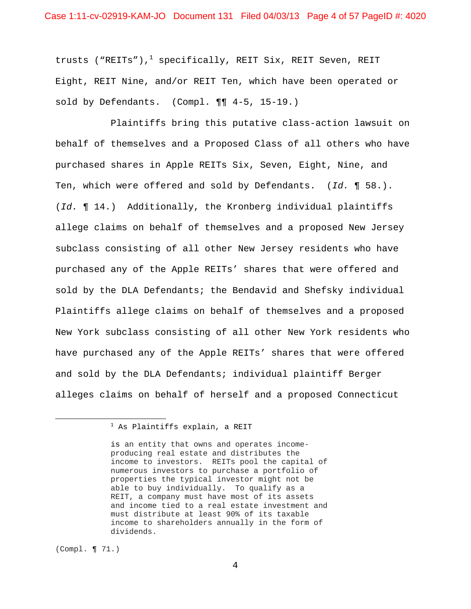trusts ("REITs"),<sup>1</sup> specifically, REIT Six, REIT Seven, REIT Eight, REIT Nine, and/or REIT Ten, which have been operated or sold by Defendants. (Compl. ¶¶ 4-5, 15-19.)

 Plaintiffs bring this putative class-action lawsuit on behalf of themselves and a Proposed Class of all others who have purchased shares in Apple REITs Six, Seven, Eight, Nine, and Ten, which were offered and sold by Defendants. (*Id.* ¶ 58.). (*Id.* ¶ 14.) Additionally, the Kronberg individual plaintiffs allege claims on behalf of themselves and a proposed New Jersey subclass consisting of all other New Jersey residents who have purchased any of the Apple REITs' shares that were offered and sold by the DLA Defendants; the Bendavid and Shefsky individual Plaintiffs allege claims on behalf of themselves and a proposed New York subclass consisting of all other New York residents who have purchased any of the Apple REITs' shares that were offered and sold by the DLA Defendants; individual plaintiff Berger alleges claims on behalf of herself and a proposed Connecticut

 $^1$  As Plaintiffs explain, a REIT

is an entity that owns and operates incomeproducing real estate and distributes the income to investors. REITs pool the capital of numerous investors to purchase a portfolio of properties the typical investor might not be able to buy individually. To qualify as a REIT, a company must have most of its assets and income tied to a real estate investment and must distribute at least 90% of its taxable income to shareholders annually in the form of dividends.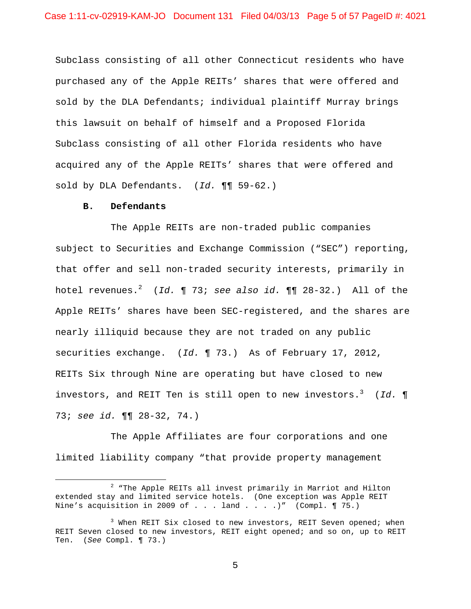Subclass consisting of all other Connecticut residents who have purchased any of the Apple REITs' shares that were offered and sold by the DLA Defendants; individual plaintiff Murray brings this lawsuit on behalf of himself and a Proposed Florida Subclass consisting of all other Florida residents who have acquired any of the Apple REITs' shares that were offered and sold by DLA Defendants. (*Id.* ¶¶ 59-62.)

#### **B. Defendants**

1

 The Apple REITs are non-traded public companies subject to Securities and Exchange Commission ("SEC") reporting, that offer and sell non-traded security interests, primarily in hotel revenues.<sup>2</sup> (*Id.* ¶ 73; *see also id.* ¶¶ 28-32.) All of the Apple REITs' shares have been SEC-registered, and the shares are nearly illiquid because they are not traded on any public securities exchange. (*Id.* ¶ 73.) As of February 17, 2012, REITs Six through Nine are operating but have closed to new investors, and REIT Ten is still open to new investors.<sup>3</sup> (*Id.* ¶ 73; *see id.* ¶¶ 28-32, 74.)

 The Apple Affiliates are four corporations and one limited liability company "that provide property management

<sup>2</sup>  $2$  "The Apple REITs all invest primarily in Marriot and Hilton extended stay and limited service hotels. (One exception was Apple REIT Nine's acquisition in 2009 of  $\ldots$  land  $\ldots$  .)" (Compl. 175.)

<sup>&</sup>lt;sup>3</sup> When REIT Six closed to new investors, REIT Seven opened; when REIT Seven closed to new investors, REIT eight opened; and so on, up to REIT Ten. (*See* Compl. ¶ 73.)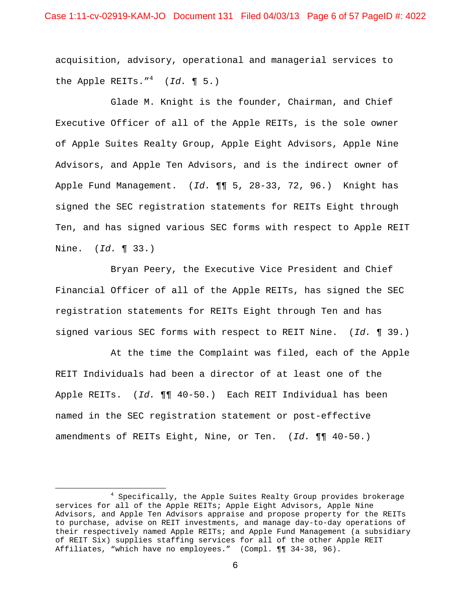acquisition, advisory, operational and managerial services to the Apple REITs."<sup>4</sup> (*Id.* ¶ 5.)

 Glade M. Knight is the founder, Chairman, and Chief Executive Officer of all of the Apple REITs, is the sole owner of Apple Suites Realty Group, Apple Eight Advisors, Apple Nine Advisors, and Apple Ten Advisors, and is the indirect owner of Apple Fund Management. (*Id.* ¶¶ 5, 28-33, 72, 96.) Knight has signed the SEC registration statements for REITs Eight through Ten, and has signed various SEC forms with respect to Apple REIT Nine. (*Id.* ¶ 33.)

 Bryan Peery, the Executive Vice President and Chief Financial Officer of all of the Apple REITs, has signed the SEC registration statements for REITs Eight through Ten and has signed various SEC forms with respect to REIT Nine. (*Id.* ¶ 39.)

 At the time the Complaint was filed, each of the Apple REIT Individuals had been a director of at least one of the Apple REITs. (*Id.* ¶¶ 40-50.) Each REIT Individual has been named in the SEC registration statement or post-effective amendments of REITs Eight, Nine, or Ten. (*Id.* ¶¶ 40-50.)

<sup>4</sup> Specifically, the Apple Suites Realty Group provides brokerage services for all of the Apple REITs; Apple Eight Advisors, Apple Nine Advisors, and Apple Ten Advisors appraise and propose property for the REITs to purchase, advise on REIT investments, and manage day-to-day operations of their respectively named Apple REITs; and Apple Fund Management (a subsidiary of REIT Six) supplies staffing services for all of the other Apple REIT Affiliates, "which have no employees." (Compl. ¶¶ 34-38, 96).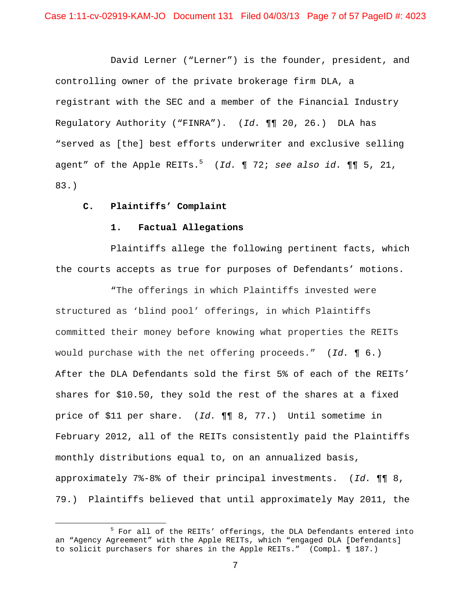David Lerner ("Lerner") is the founder, president, and controlling owner of the private brokerage firm DLA, a registrant with the SEC and a member of the Financial Industry Regulatory Authority ("FINRA"). (*Id.* ¶¶ 20, 26.) DLA has "served as [the] best efforts underwriter and exclusive selling agent" of the Apple REITs.<sup>5</sup> (*Id.* ¶ 72; *see also id.* ¶¶ 5, 21, 83.)

### **C. Plaintiffs' Complaint**

 $\overline{a}$ 

### **1. Factual Allegations**

 Plaintiffs allege the following pertinent facts, which the courts accepts as true for purposes of Defendants' motions.

 "The offerings in which Plaintiffs invested were structured as 'blind pool' offerings, in which Plaintiffs committed their money before knowing what properties the REITs would purchase with the net offering proceeds." (*Id.* ¶ 6.) After the DLA Defendants sold the first 5% of each of the REITs' shares for \$10.50, they sold the rest of the shares at a fixed price of \$11 per share. (*Id.* ¶¶ 8, 77.) Until sometime in February 2012, all of the REITs consistently paid the Plaintiffs monthly distributions equal to, on an annualized basis, approximately 7%-8% of their principal investments. (*Id.* ¶¶ 8, 79.) Plaintiffs believed that until approximately May 2011, the

<sup>&</sup>lt;sup>5</sup> For all of the REITs' offerings, the DLA Defendants entered into an "Agency Agreement" with the Apple REITs, which "engaged DLA [Defendants] to solicit purchasers for shares in the Apple REITs." (Compl. ¶ 187.)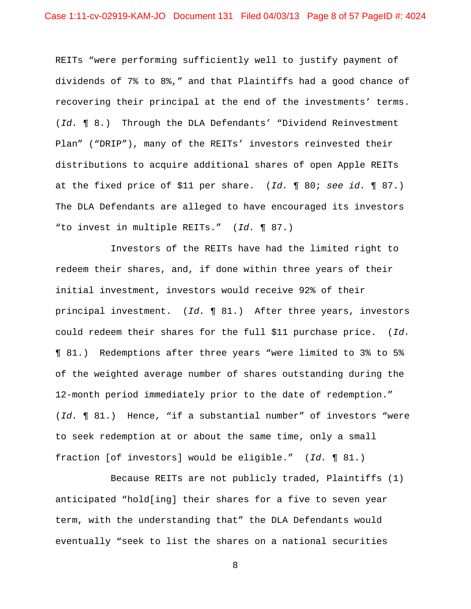REITs "were performing sufficiently well to justify payment of dividends of 7% to 8%," and that Plaintiffs had a good chance of recovering their principal at the end of the investments' terms. (*Id.* ¶ 8.) Through the DLA Defendants' "Dividend Reinvestment Plan" ("DRIP"), many of the REITs' investors reinvested their distributions to acquire additional shares of open Apple REITs at the fixed price of \$11 per share. (*Id.* ¶ 80; *see id.* ¶ 87.) The DLA Defendants are alleged to have encouraged its investors "to invest in multiple REITs." (*Id.* ¶ 87.)

 Investors of the REITs have had the limited right to redeem their shares, and, if done within three years of their initial investment, investors would receive 92% of their principal investment. (*Id.* ¶ 81.) After three years, investors could redeem their shares for the full \$11 purchase price. (*Id.* ¶ 81.) Redemptions after three years "were limited to 3% to 5% of the weighted average number of shares outstanding during the 12-month period immediately prior to the date of redemption." (*Id.* ¶ 81.) Hence, "if a substantial number" of investors "were to seek redemption at or about the same time, only a small fraction [of investors] would be eligible." (*Id.* ¶ 81.)

 Because REITs are not publicly traded, Plaintiffs (1) anticipated "hold[ing] their shares for a five to seven year term, with the understanding that" the DLA Defendants would eventually "seek to list the shares on a national securities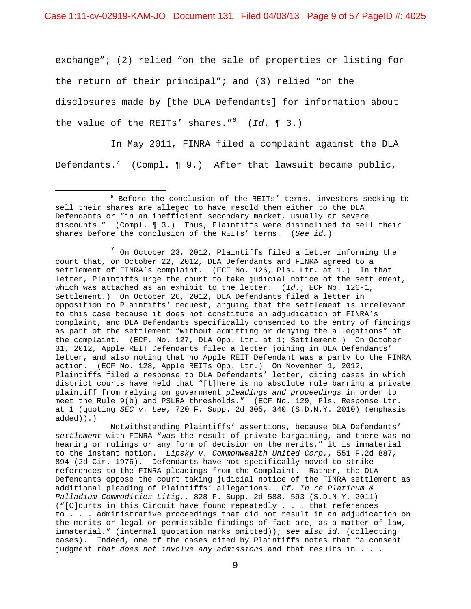Case 1:11-cv-02919-KAM-JO Document 131 Filed 04/03/13 Page 9 of 57 PageID #: 4025

exchange"; (2) relied "on the sale of properties or listing for the return of their principal"; and (3) relied "on the disclosures made by [the DLA Defendants] for information about the value of the REITs' shares."<sup>6</sup> (*Id.* ¶ 3.)

 In May 2011, FINRA filed a complaint against the DLA Defendants. $^7$  (Compl. ¶ 9.) After that lawsuit became public,

 $\overline{a}$ 

 $^7$  On October 23, 2012, Plaintiffs filed a letter informing the court that, on October 22, 2012, DLA Defendants and FINRA agreed to a settlement of FINRA's complaint. (ECF No. 126, Pls. Ltr. at 1.) In that letter, Plaintiffs urge the court to take judicial notice of the settlement, which was attached as an exhibit to the letter. (*Id.*; ECF No. 126-1, Settlement.) On October 26, 2012, DLA Defendants filed a letter in opposition to Plaintiffs' request, arguing that the settlement is irrelevant to this case because it does not constitute an adjudication of FINRA's complaint, and DLA Defendants specifically consented to the entry of findings as part of the settlement "without admitting or denying the allegations" of the complaint. (ECF. No. 127, DLA Opp. Ltr. at 1; Settlement.) On October 31, 2012, Apple REIT Defendants filed a letter joining in DLA Defendants' letter, and also noting that no Apple REIT Defendant was a party to the FINRA action. (ECF No. 128, Apple REITs Opp. Ltr.) On November 1, 2012, Plaintiffs filed a response to DLA Defendants' letter, citing cases in which district courts have held that "[t]here is no absolute rule barring a private plaintiff from relying on government *pleadings and proceedings* in order to meet the Rule 9(b) and PSLRA thresholds." (ECF No. 129, Pls. Response Ltr. at 1 (quoting *SEC v. Lee*, 720 F. Supp. 2d 305, 340 (S.D.N.Y. 2010) (emphasis added)).)

 Notwithstanding Plaintiffs' assertions, because DLA Defendants' *settlement* with FINRA "was the result of private bargaining, and there was no hearing or rulings or any form of decision on the merits," it is immaterial to the instant motion. *Lipsky v. Commonwealth United Corp.*, 551 F.2d 887, 894 (2d Cir. 1976). Defendants have not specifically moved to strike references to the FINRA pleadings from the Complaint. Rather, the DLA Defendants oppose the court taking judicial notice of the FINRA settlement as additional pleading of Plaintiffs' allegations. *Cf. In re Platinum & Palladium Commodities Litig.*, 828 F. Supp. 2d 588, 593 (S.D.N.Y. 2011) ("[C]ourts in this Circuit have found repeatedly . . . that references to . . . administrative proceedings that did not result in an adjudication on the merits or legal or permissible findings of fact are, as a matter of law, immaterial." (internal quotation marks omitted)); *see also id.* (collecting cases). Indeed, one of the cases cited by Plaintiffs notes that "a consent judgment *that does not involve any admissions* and that results in . . .

<sup>6</sup> Before the conclusion of the REITs' terms, investors seeking to sell their shares are alleged to have resold them either to the DLA Defendants or "in an inefficient secondary market, usually at severe discounts." (Compl. ¶ 3.) Thus, Plaintiffs were disinclined to sell their shares before the conclusion of the REITs' terms. (*See id.*)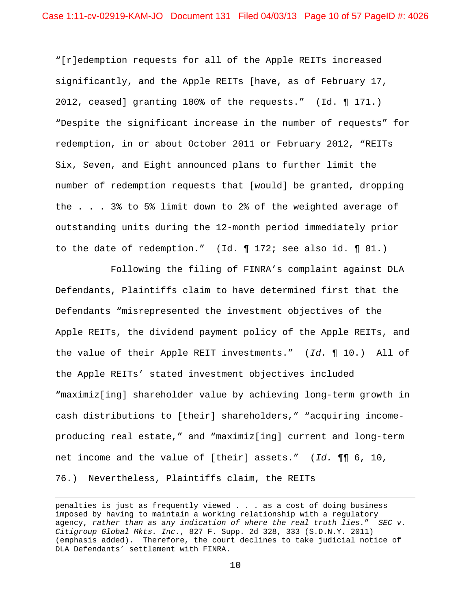"[r]edemption requests for all of the Apple REITs increased significantly, and the Apple REITs [have, as of February 17, 2012, ceased] granting 100% of the requests." (Id. ¶ 171.) "Despite the significant increase in the number of requests" for redemption, in or about October 2011 or February 2012, "REITs Six, Seven, and Eight announced plans to further limit the number of redemption requests that [would] be granted, dropping the . . . 3% to 5% limit down to 2% of the weighted average of outstanding units during the 12-month period immediately prior to the date of redemption." (Id. ¶ 172; see also id. ¶ 81.)

 Following the filing of FINRA's complaint against DLA Defendants, Plaintiffs claim to have determined first that the Defendants "misrepresented the investment objectives of the Apple REITs, the dividend payment policy of the Apple REITs, and the value of their Apple REIT investments." (*Id.* ¶ 10.) All of the Apple REITs' stated investment objectives included "maximiz[ing] shareholder value by achieving long-term growth in cash distributions to [their] shareholders," "acquiring incomeproducing real estate," and "maximiz[ing] current and long-term net income and the value of [their] assets." (*Id.* ¶¶ 6, 10, 76.) Nevertheless, Plaintiffs claim, the REITs

 $\overline{a}$ 

penalties is just as frequently viewed . . . as a cost of doing business imposed by having to maintain a working relationship with a regulatory agency, *rather than as any indication of where the real truth lies.*" *SEC v. Citigroup Global Mkts. Inc.*, 827 F. Supp. 2d 328, 333 (S.D.N.Y. 2011) (emphasis added). Therefore, the court declines to take judicial notice of DLA Defendants' settlement with FINRA.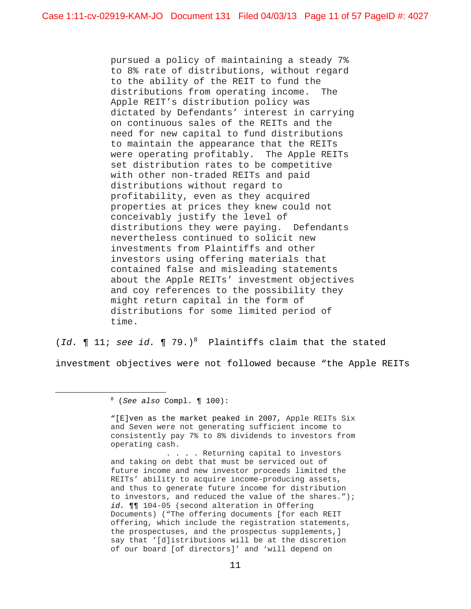pursued a policy of maintaining a steady 7% to 8% rate of distributions, without regard to the ability of the REIT to fund the distributions from operating income. The Apple REIT's distribution policy was dictated by Defendants' interest in carrying on continuous sales of the REITs and the need for new capital to fund distributions to maintain the appearance that the REITs were operating profitably. The Apple REITs set distribution rates to be competitive with other non-traded REITs and paid distributions without regard to profitability, even as they acquired properties at prices they knew could not conceivably justify the level of distributions they were paying. Defendants nevertheless continued to solicit new investments from Plaintiffs and other investors using offering materials that contained false and misleading statements about the Apple REITs' investment objectives and coy references to the possibility they might return capital in the form of distributions for some limited period of time.

(*Id.*  $\P$  11; *see id.*  $\P$  79.)<sup>8</sup> Plaintiffs claim that the stated

investment objectives were not followed because "the Apple REITs

 $\overline{a}$ 

"[E]ven as the market peaked in 2007, Apple REITs Six and Seven were not generating sufficient income to consistently pay 7% to 8% dividends to investors from operating cash.

. . . . Returning capital to investors and taking on debt that must be serviced out of future income and new investor proceeds limited the REITs' ability to acquire income-producing assets, and thus to generate future income for distribution to investors, and reduced the value of the shares."); *id.* ¶¶ 104-05 (second alteration in Offering Documents) ("The offering documents [for each REIT offering, which include the registration statements, the prospectuses, and the prospectus supplements,] say that '[d]istributions will be at the discretion of our board [of directors]' and 'will depend on

<sup>8</sup> (*See also* Compl. ¶ 100):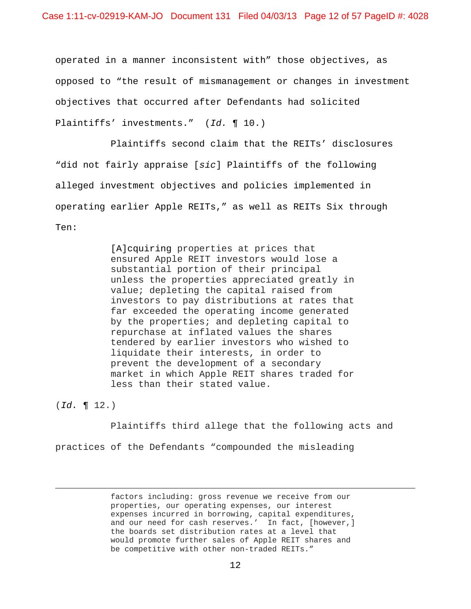operated in a manner inconsistent with" those objectives, as opposed to "the result of mismanagement or changes in investment objectives that occurred after Defendants had solicited Plaintiffs' investments." (*Id.* ¶ 10.)

 Plaintiffs second claim that the REITs' disclosures "did not fairly appraise [*sic*] Plaintiffs of the following alleged investment objectives and policies implemented in operating earlier Apple REITs," as well as REITs Six through Ten:

> [A]cquiring properties at prices that ensured Apple REIT investors would lose a substantial portion of their principal unless the properties appreciated greatly in value; depleting the capital raised from investors to pay distributions at rates that far exceeded the operating income generated by the properties; and depleting capital to repurchase at inflated values the shares tendered by earlier investors who wished to liquidate their interests, in order to prevent the development of a secondary market in which Apple REIT shares traded for less than their stated value.

(*Id.* ¶ 12.)

1

 Plaintiffs third allege that the following acts and practices of the Defendants "compounded the misleading

> factors including: gross revenue we receive from our properties, our operating expenses, our interest expenses incurred in borrowing, capital expenditures, and our need for cash reserves.' In fact, [however,] the boards set distribution rates at a level that would promote further sales of Apple REIT shares and be competitive with other non-traded REITs."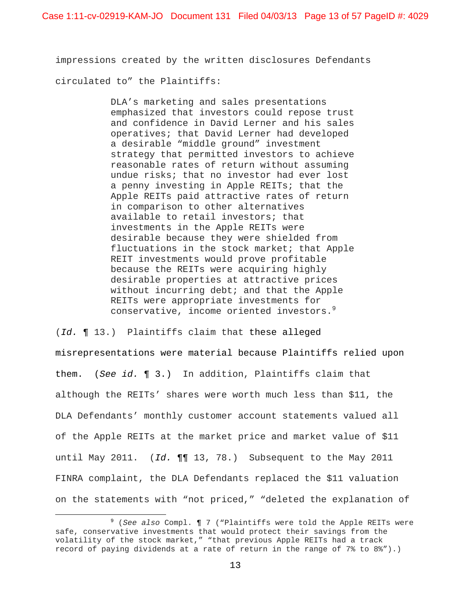impressions created by the written disclosures Defendants circulated to" the Plaintiffs:

> DLA's marketing and sales presentations emphasized that investors could repose trust and confidence in David Lerner and his sales operatives; that David Lerner had developed a desirable "middle ground" investment strategy that permitted investors to achieve reasonable rates of return without assuming undue risks; that no investor had ever lost a penny investing in Apple REITs; that the Apple REITs paid attractive rates of return in comparison to other alternatives available to retail investors; that investments in the Apple REITs were desirable because they were shielded from fluctuations in the stock market; that Apple REIT investments would prove profitable because the REITs were acquiring highly desirable properties at attractive prices without incurring debt; and that the Apple REITs were appropriate investments for conservative, income oriented investors.<sup>9</sup>

(*Id.* ¶ 13.) Plaintiffs claim that these alleged misrepresentations were material because Plaintiffs relied upon them. (*See id.* ¶ 3.) In addition, Plaintiffs claim that although the REITs' shares were worth much less than \$11, the DLA Defendants' monthly customer account statements valued all of the Apple REITs at the market price and market value of \$11 until May 2011. (*Id.* ¶¶ 13, 78.) Subsequent to the May 2011 FINRA complaint, the DLA Defendants replaced the \$11 valuation on the statements with "not priced," "deleted the explanation of

<u>.</u>

<sup>9</sup> (*See also* Compl. ¶ 7 ("Plaintiffs were told the Apple REITs were safe, conservative investments that would protect their savings from the volatility of the stock market," "that previous Apple REITs had a track record of paying dividends at a rate of return in the range of 7% to 8%").)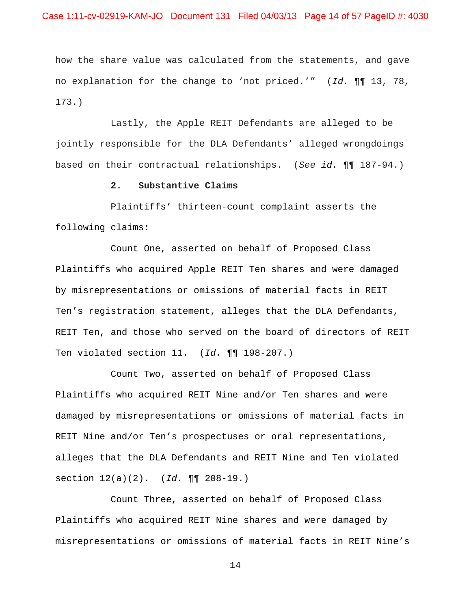how the share value was calculated from the statements, and gave no explanation for the change to 'not priced.'" (*Id.* ¶¶ 13, 78, 173.)

 Lastly, the Apple REIT Defendants are alleged to be jointly responsible for the DLA Defendants' alleged wrongdoings based on their contractual relationships. (*See id.* ¶¶ 187-94.)

## **2. Substantive Claims**

 Plaintiffs' thirteen-count complaint asserts the following claims:

 Count One, asserted on behalf of Proposed Class Plaintiffs who acquired Apple REIT Ten shares and were damaged by misrepresentations or omissions of material facts in REIT Ten's registration statement, alleges that the DLA Defendants, REIT Ten, and those who served on the board of directors of REIT Ten violated section 11. (*Id.* ¶¶ 198-207.)

 Count Two, asserted on behalf of Proposed Class Plaintiffs who acquired REIT Nine and/or Ten shares and were damaged by misrepresentations or omissions of material facts in REIT Nine and/or Ten's prospectuses or oral representations, alleges that the DLA Defendants and REIT Nine and Ten violated section 12(a)(2). (*Id.* ¶¶ 208-19.)

 Count Three, asserted on behalf of Proposed Class Plaintiffs who acquired REIT Nine shares and were damaged by misrepresentations or omissions of material facts in REIT Nine's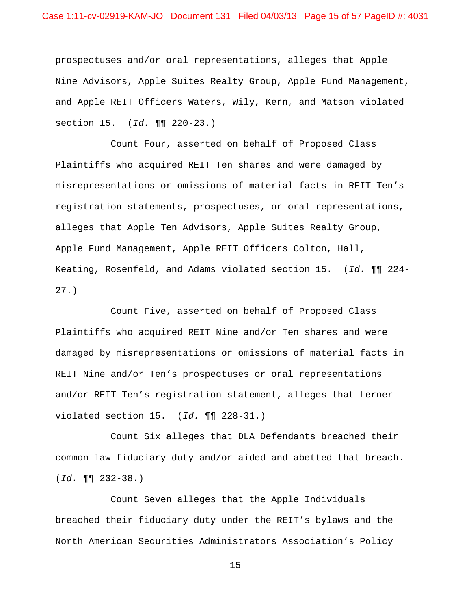Case 1:11-cv-02919-KAM-JO Document 131 Filed 04/03/13 Page 15 of 57 PageID #: 4031

prospectuses and/or oral representations, alleges that Apple Nine Advisors, Apple Suites Realty Group, Apple Fund Management, and Apple REIT Officers Waters, Wily, Kern, and Matson violated section 15. (*Id.* ¶¶ 220-23.)

 Count Four, asserted on behalf of Proposed Class Plaintiffs who acquired REIT Ten shares and were damaged by misrepresentations or omissions of material facts in REIT Ten's registration statements, prospectuses, or oral representations, alleges that Apple Ten Advisors, Apple Suites Realty Group, Apple Fund Management, Apple REIT Officers Colton, Hall, Keating, Rosenfeld, and Adams violated section 15. (*Id.* ¶¶ 224- 27.)

 Count Five, asserted on behalf of Proposed Class Plaintiffs who acquired REIT Nine and/or Ten shares and were damaged by misrepresentations or omissions of material facts in REIT Nine and/or Ten's prospectuses or oral representations and/or REIT Ten's registration statement, alleges that Lerner violated section 15. (*Id.* ¶¶ 228-31.)

 Count Six alleges that DLA Defendants breached their common law fiduciary duty and/or aided and abetted that breach. (*Id.* ¶¶ 232-38.)

 Count Seven alleges that the Apple Individuals breached their fiduciary duty under the REIT's bylaws and the North American Securities Administrators Association's Policy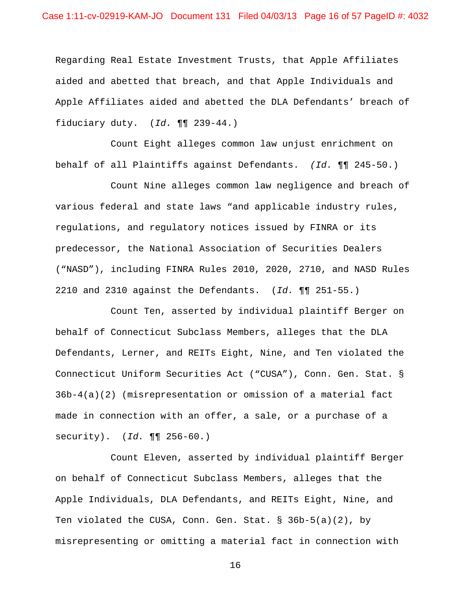Regarding Real Estate Investment Trusts, that Apple Affiliates aided and abetted that breach, and that Apple Individuals and Apple Affiliates aided and abetted the DLA Defendants' breach of fiduciary duty. (*Id.* ¶¶ 239-44.)

 Count Eight alleges common law unjust enrichment on behalf of all Plaintiffs against Defendants. *(Id.* ¶¶ 245-50.)

 Count Nine alleges common law negligence and breach of various federal and state laws "and applicable industry rules, regulations, and regulatory notices issued by FINRA or its predecessor, the National Association of Securities Dealers ("NASD"), including FINRA Rules 2010, 2020, 2710, and NASD Rules 2210 and 2310 against the Defendants. (*Id.* ¶¶ 251-55.)

 Count Ten, asserted by individual plaintiff Berger on behalf of Connecticut Subclass Members, alleges that the DLA Defendants, Lerner, and REITs Eight, Nine, and Ten violated the Connecticut Uniform Securities Act ("CUSA"), Conn. Gen. Stat. § 36b-4(a)(2) (misrepresentation or omission of a material fact made in connection with an offer, a sale, or a purchase of a security). (*Id.* ¶¶ 256-60.)

 Count Eleven, asserted by individual plaintiff Berger on behalf of Connecticut Subclass Members, alleges that the Apple Individuals, DLA Defendants, and REITs Eight, Nine, and Ten violated the CUSA, Conn. Gen. Stat. § 36b-5(a)(2), by misrepresenting or omitting a material fact in connection with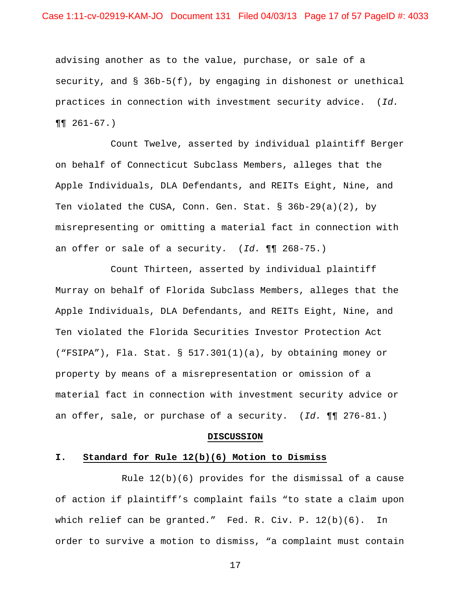advising another as to the value, purchase, or sale of a security, and  $\S$  36b-5(f), by engaging in dishonest or unethical practices in connection with investment security advice. (*Id.*  $\P\P$  261-67.)

 Count Twelve, asserted by individual plaintiff Berger on behalf of Connecticut Subclass Members, alleges that the Apple Individuals, DLA Defendants, and REITs Eight, Nine, and Ten violated the CUSA, Conn. Gen. Stat. § 36b-29(a)(2), by misrepresenting or omitting a material fact in connection with an offer or sale of a security. (*Id.* ¶¶ 268-75.)

 Count Thirteen, asserted by individual plaintiff Murray on behalf of Florida Subclass Members, alleges that the Apple Individuals, DLA Defendants, and REITs Eight, Nine, and Ten violated the Florida Securities Investor Protection Act ("FSIPA"), Fla. Stat. § 517.301(1)(a), by obtaining money or property by means of a misrepresentation or omission of a material fact in connection with investment security advice or an offer, sale, or purchase of a security. (*Id.* ¶¶ 276-81.)

#### **DISCUSSION**

### **I. Standard for Rule 12(b)(6) Motion to Dismiss**

 Rule 12(b)(6) provides for the dismissal of a cause of action if plaintiff's complaint fails "to state a claim upon which relief can be granted." Fed. R. Civ. P. 12(b)(6). In order to survive a motion to dismiss, "a complaint must contain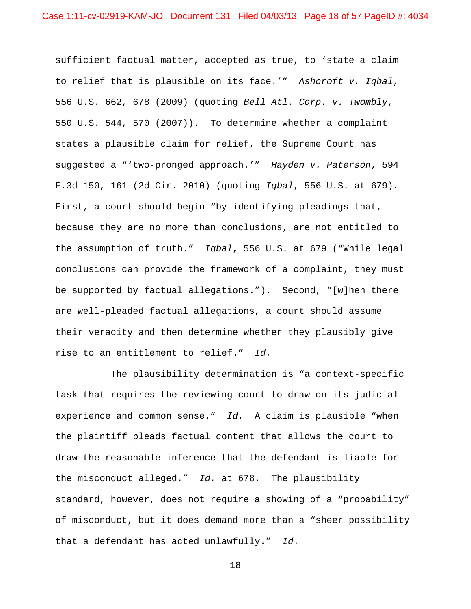sufficient factual matter, accepted as true, to 'state a claim to relief that is plausible on its face.'" *Ashcroft v. Iqbal*, 556 U.S. 662, 678 (2009) (quoting *Bell Atl. Corp. v. Twombly*, 550 U.S. 544, 570 (2007)). To determine whether a complaint states a plausible claim for relief, the Supreme Court has suggested a "'two-pronged approach.'" *Hayden v. Paterson*, 594 F.3d 150, 161 (2d Cir. 2010) (quoting *Iqbal*, 556 U.S. at 679). First, a court should begin "by identifying pleadings that, because they are no more than conclusions, are not entitled to the assumption of truth." *Iqbal*, 556 U.S. at 679 ("While legal conclusions can provide the framework of a complaint, they must be supported by factual allegations."). Second, "[w]hen there are well-pleaded factual allegations, a court should assume their veracity and then determine whether they plausibly give rise to an entitlement to relief." *Id.*

The plausibility determination is "a context-specific task that requires the reviewing court to draw on its judicial experience and common sense." *Id.* A claim is plausible "when the plaintiff pleads factual content that allows the court to draw the reasonable inference that the defendant is liable for the misconduct alleged." *Id.* at 678. The plausibility standard, however, does not require a showing of a "probability" of misconduct, but it does demand more than a "sheer possibility that a defendant has acted unlawfully." *Id*.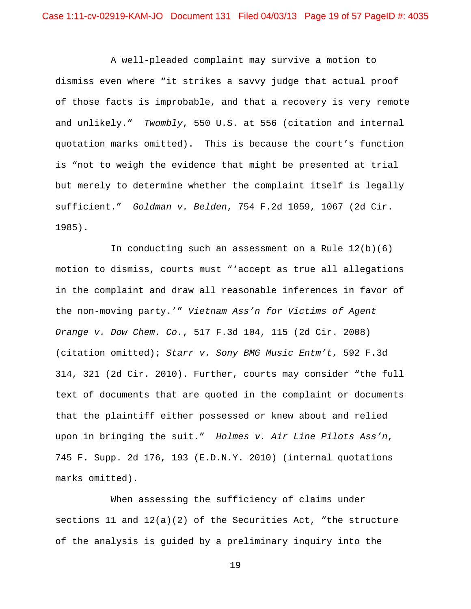A well-pleaded complaint may survive a motion to dismiss even where "it strikes a savvy judge that actual proof of those facts is improbable, and that a recovery is very remote and unlikely." *Twombly*, 550 U.S. at 556 (citation and internal quotation marks omitted). This is because the court's function is "not to weigh the evidence that might be presented at trial but merely to determine whether the complaint itself is legally sufficient." *Goldman v. Belden*, 754 F.2d 1059, 1067 (2d Cir. 1985).

In conducting such an assessment on a Rule  $12(b)(6)$ motion to dismiss, courts must "'accept as true all allegations in the complaint and draw all reasonable inferences in favor of the non-moving party.'" *Vietnam Ass'n for Victims of Agent Orange v. Dow Chem. Co.*, 517 F.3d 104, 115 (2d Cir. 2008) (citation omitted); *Starr v. Sony BMG Music Entm't*, 592 F.3d 314, 321 (2d Cir. 2010). Further, courts may consider "the full text of documents that are quoted in the complaint or documents that the plaintiff either possessed or knew about and relied upon in bringing the suit." *Holmes v. Air Line Pilots Ass'n*, 745 F. Supp. 2d 176, 193 (E.D.N.Y. 2010) (internal quotations marks omitted).

When assessing the sufficiency of claims under sections 11 and 12(a)(2) of the Securities Act, "the structure of the analysis is guided by a preliminary inquiry into the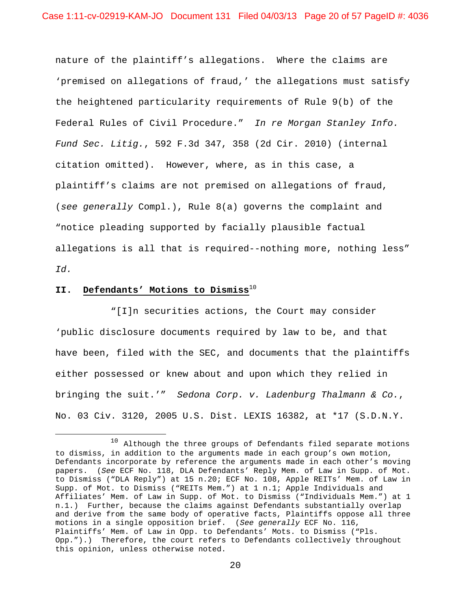nature of the plaintiff's allegations. Where the claims are 'premised on allegations of fraud,' the allegations must satisfy the heightened particularity requirements of Rule 9(b) of the Federal Rules of Civil Procedure." *In re Morgan Stanley Info. Fund Sec. Litig.*, 592 F.3d 347, 358 (2d Cir. 2010) (internal citation omitted). However, where, as in this case, a plaintiff's claims are not premised on allegations of fraud, (*see generally* Compl.), Rule 8(a) governs the complaint and "notice pleading supported by facially plausible factual allegations is all that is required--nothing more, nothing less" *Id.*

# **II. Defendants' Motions to Dismiss**<sup>10</sup>

 $\overline{a}$ 

 "[I]n securities actions, the Court may consider 'public disclosure documents required by law to be, and that have been, filed with the SEC, and documents that the plaintiffs either possessed or knew about and upon which they relied in bringing the suit.'" *Sedona Corp. v. Ladenburg Thalmann & Co.*, No. 03 Civ. 3120, 2005 U.S. Dist. LEXIS 16382, at \*17 (S.D.N.Y.

<sup>&</sup>lt;sup>10</sup> Although the three groups of Defendants filed separate motions to dismiss, in addition to the arguments made in each group's own motion, Defendants incorporate by reference the arguments made in each other's moving papers. (*See* ECF No. 118, DLA Defendants' Reply Mem. of Law in Supp. of Mot. to Dismiss ("DLA Reply") at 15 n.20; ECF No. 108, Apple REITs' Mem. of Law in Supp. of Mot. to Dismiss ("REITs Mem.") at 1 n.1; Apple Individuals and Affiliates' Mem. of Law in Supp. of Mot. to Dismiss ("Individuals Mem.") at 1 n.1.) Further, because the claims against Defendants substantially overlap and derive from the same body of operative facts, Plaintiffs oppose all three motions in a single opposition brief. (*See generally* ECF No. 116, Plaintiffs' Mem. of Law in Opp. to Defendants' Mots. to Dismiss ("Pls. Opp.").) Therefore, the court refers to Defendants collectively throughout this opinion, unless otherwise noted.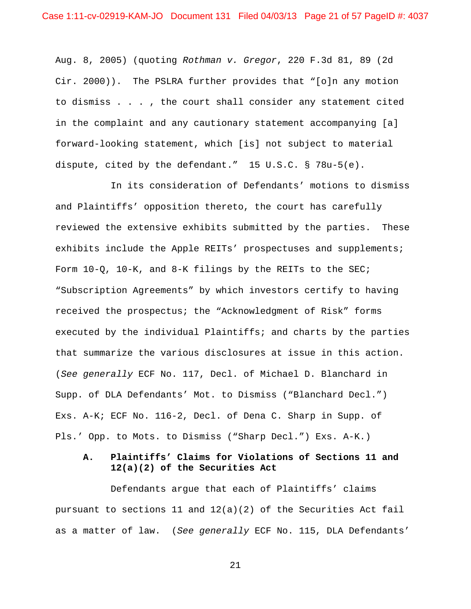Aug. 8, 2005) (quoting *Rothman v. Gregor*, 220 F.3d 81, 89 (2d Cir. 2000)). The PSLRA further provides that "[o]n any motion to dismiss . . . , the court shall consider any statement cited in the complaint and any cautionary statement accompanying [a] forward-looking statement, which [is] not subject to material dispute, cited by the defendant." 15 U.S.C. § 78u-5(e).

 In its consideration of Defendants' motions to dismiss and Plaintiffs' opposition thereto, the court has carefully reviewed the extensive exhibits submitted by the parties. These exhibits include the Apple REITs' prospectuses and supplements; Form  $10-Q$ ,  $10-K$ , and  $8-K$  filings by the REITs to the SEC; "Subscription Agreements" by which investors certify to having received the prospectus; the "Acknowledgment of Risk" forms executed by the individual Plaintiffs; and charts by the parties that summarize the various disclosures at issue in this action. (*See generally* ECF No. 117, Decl. of Michael D. Blanchard in Supp. of DLA Defendants' Mot. to Dismiss ("Blanchard Decl.") Exs. A-K; ECF No. 116-2, Decl. of Dena C. Sharp in Supp. of Pls.' Opp. to Mots. to Dismiss ("Sharp Decl.") Exs. A-K.)

# **A. Plaintiffs' Claims for Violations of Sections 11 and 12(a)(2) of the Securities Act**

 Defendants argue that each of Plaintiffs' claims pursuant to sections 11 and  $12(a)(2)$  of the Securities Act fail as a matter of law. (*See generally* ECF No. 115, DLA Defendants'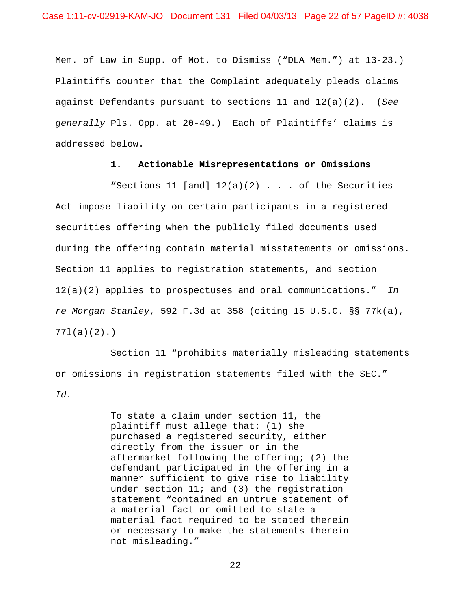Mem. of Law in Supp. of Mot. to Dismiss ("DLA Mem.") at 13-23.) Plaintiffs counter that the Complaint adequately pleads claims against Defendants pursuant to sections 11 and 12(a)(2). (*See generally* Pls. Opp. at 20-49.) Each of Plaintiffs' claims is addressed below.

## **1. Actionable Misrepresentations or Omissions**

 **"**Sections 11 [and] 12(a)(2) . . . of the Securities Act impose liability on certain participants in a registered securities offering when the publicly filed documents used during the offering contain material misstatements or omissions. Section 11 applies to registration statements, and section 12(a)(2) applies to prospectuses and oral communications." *In re Morgan Stanley*, 592 F.3d at 358 (citing 15 U.S.C. §§ 77k(a), 77l(a)(2).)

 Section 11 "prohibits materially misleading statements or omissions in registration statements filed with the SEC." *Id.*

> To state a claim under section 11, the plaintiff must allege that: (1) she purchased a registered security, either directly from the issuer or in the aftermarket following the offering; (2) the defendant participated in the offering in a manner sufficient to give rise to liability under section 11; and (3) the registration statement "contained an untrue statement of a material fact or omitted to state a material fact required to be stated therein or necessary to make the statements therein not misleading."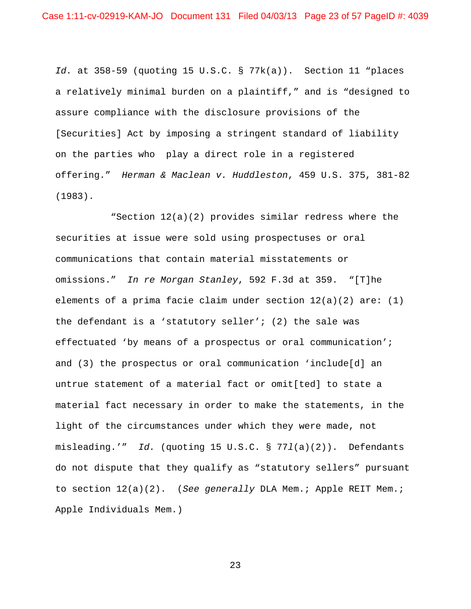*Id.* at 358-59 (quoting 15 U.S.C. § 77k(a)). Section 11 "places a relatively minimal burden on a plaintiff," and is "designed to assure compliance with the disclosure provisions of the [Securities] Act by imposing a stringent standard of liability on the parties who play a direct role in a registered offering." *Herman & Maclean v. Huddleston*, 459 U.S. 375, 381-82 (1983).

 "Section 12(a)(2) provides similar redress where the securities at issue were sold using prospectuses or oral communications that contain material misstatements or omissions." *In re Morgan Stanley*, 592 F.3d at 359. "[T]he elements of a prima facie claim under section  $12(a)(2)$  are: (1) the defendant is a 'statutory seller'; (2) the sale was effectuated 'by means of a prospectus or oral communication'; and (3) the prospectus or oral communication 'include[d] an untrue statement of a material fact or omit[ted] to state a material fact necessary in order to make the statements, in the light of the circumstances under which they were made, not misleading.'" *Id.* (quoting 15 U.S.C. § 77*l*(a)(2)). Defendants do not dispute that they qualify as "statutory sellers" pursuant to section 12(a)(2). (*See generally* DLA Mem.; Apple REIT Mem.; Apple Individuals Mem.)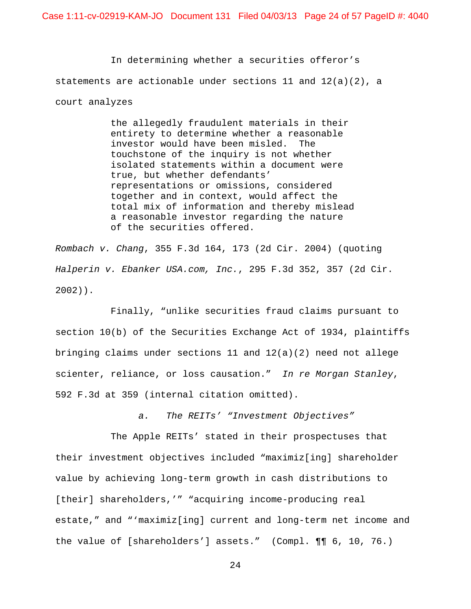In determining whether a securities offeror's statements are actionable under sections 11 and  $12(a)(2)$ , a court analyzes

> the allegedly fraudulent materials in their entirety to determine whether a reasonable investor would have been misled. The touchstone of the inquiry is not whether isolated statements within a document were true, but whether defendants' representations or omissions, considered together and in context, would affect the total mix of information and thereby mislead a reasonable investor regarding the nature of the securities offered.

*Rombach v. Chang*, 355 F.3d 164, 173 (2d Cir. 2004) (quoting *Halperin v. Ebanker USA.com, Inc.*, 295 F.3d 352, 357 (2d Cir. 2002)).

 Finally, "unlike securities fraud claims pursuant to section 10(b) of the Securities Exchange Act of 1934, plaintiffs bringing claims under sections 11 and 12(a)(2) need not allege scienter, reliance, or loss causation." *In re Morgan Stanley*, 592 F.3d at 359 (internal citation omitted).

*a. The REITs' "Investment Objectives"*

 The Apple REITs' stated in their prospectuses that their investment objectives included "maximiz[ing] shareholder value by achieving long-term growth in cash distributions to [their] shareholders,'" "acquiring income-producing real estate," and "'maximiz[ing] current and long-term net income and the value of [shareholders'] assets." (Compl. ¶¶ 6, 10, 76.)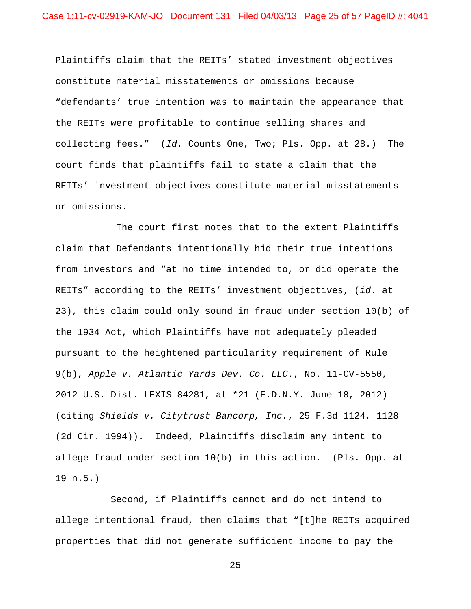Plaintiffs claim that the REITs' stated investment objectives constitute material misstatements or omissions because "defendants' true intention was to maintain the appearance that the REITs were profitable to continue selling shares and collecting fees." (*Id.* Counts One, Two; Pls. Opp. at 28.) The court finds that plaintiffs fail to state a claim that the REITs' investment objectives constitute material misstatements or omissions.

 The court first notes that to the extent Plaintiffs claim that Defendants intentionally hid their true intentions from investors and "at no time intended to, or did operate the REITs" according to the REITs' investment objectives, (*id.* at 23), this claim could only sound in fraud under section 10(b) of the 1934 Act, which Plaintiffs have not adequately pleaded pursuant to the heightened particularity requirement of Rule 9(b), *Apple v. Atlantic Yards Dev. Co. LLC.*, No. 11-CV-5550, 2012 U.S. Dist. LEXIS 84281, at \*21 (E.D.N.Y. June 18, 2012) (citing *Shields v. Citytrust Bancorp, Inc.*, 25 F.3d 1124, 1128 (2d Cir. 1994)). Indeed, Plaintiffs disclaim any intent to allege fraud under section 10(b) in this action. (Pls. Opp. at 19 n.5.)

 Second, if Plaintiffs cannot and do not intend to allege intentional fraud, then claims that "[t]he REITs acquired properties that did not generate sufficient income to pay the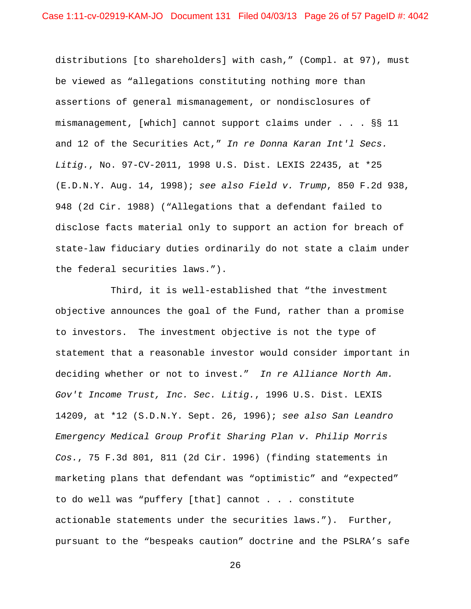distributions [to shareholders] with cash," (Compl. at 97), must be viewed as "allegations constituting nothing more than assertions of general mismanagement, or nondisclosures of mismanagement, [which] cannot support claims under . . . §§ 11 and 12 of the Securities Act," *In re Donna Karan Int'l Secs. Litig.*, No. 97-CV-2011, 1998 U.S. Dist. LEXIS 22435, at \*25 (E.D.N.Y. Aug. 14, 1998); *see also Field v. Trump*, 850 F.2d 938, 948 (2d Cir. 1988) ("Allegations that a defendant failed to disclose facts material only to support an action for breach of state-law fiduciary duties ordinarily do not state a claim under the federal securities laws.").

 Third, it is well-established that "the investment objective announces the goal of the Fund, rather than a promise to investors. The investment objective is not the type of statement that a reasonable investor would consider important in deciding whether or not to invest." *In re Alliance North Am. Gov't Income Trust, Inc. Sec. Litig.*, 1996 U.S. Dist. LEXIS 14209, at \*12 (S.D.N.Y. Sept. 26, 1996); *see also San Leandro Emergency Medical Group Profit Sharing Plan v. Philip Morris Cos.*, 75 F.3d 801, 811 (2d Cir. 1996) (finding statements in marketing plans that defendant was "optimistic" and "expected" to do well was "puffery [that] cannot . . . constitute actionable statements under the securities laws."). Further, pursuant to the "bespeaks caution" doctrine and the PSLRA's safe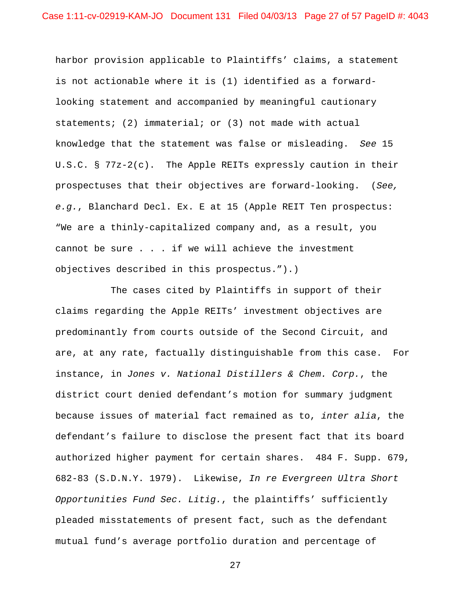harbor provision applicable to Plaintiffs' claims, a statement is not actionable where it is (1) identified as a forwardlooking statement and accompanied by meaningful cautionary statements; (2) immaterial; or (3) not made with actual knowledge that the statement was false or misleading. *See* 15 U.S.C. § 77z-2(c). The Apple REITs expressly caution in their prospectuses that their objectives are forward-looking. (*See, e.g.*, Blanchard Decl. Ex. E at 15 (Apple REIT Ten prospectus: "We are a thinly-capitalized company and, as a result, you cannot be sure . . . if we will achieve the investment objectives described in this prospectus.").)

 The cases cited by Plaintiffs in support of their claims regarding the Apple REITs' investment objectives are predominantly from courts outside of the Second Circuit, and are, at any rate, factually distinguishable from this case. For instance, in *Jones v. National Distillers & Chem. Corp.*, the district court denied defendant's motion for summary judgment because issues of material fact remained as to, *inter alia*, the defendant's failure to disclose the present fact that its board authorized higher payment for certain shares. 484 F. Supp. 679, 682-83 (S.D.N.Y. 1979). Likewise, *In re Evergreen Ultra Short Opportunities Fund Sec. Litig.*, the plaintiffs' sufficiently pleaded misstatements of present fact, such as the defendant mutual fund's average portfolio duration and percentage of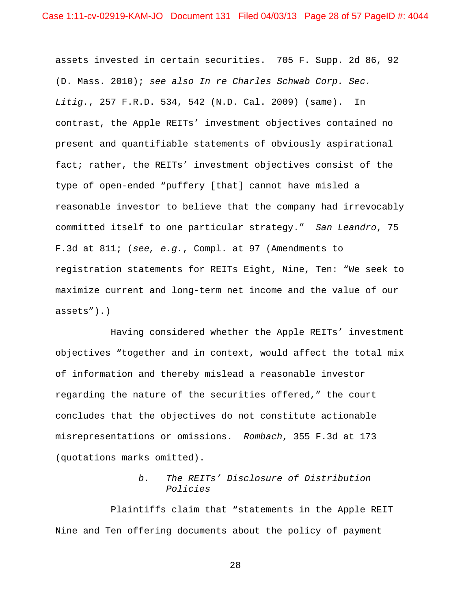assets invested in certain securities. 705 F. Supp. 2d 86, 92 (D. Mass. 2010); *see also In re Charles Schwab Corp. Sec. Litig.*, 257 F.R.D. 534, 542 (N.D. Cal. 2009) (same). In contrast, the Apple REITs' investment objectives contained no present and quantifiable statements of obviously aspirational fact; rather, the REITs' investment objectives consist of the type of open-ended "puffery [that] cannot have misled a reasonable investor to believe that the company had irrevocably committed itself to one particular strategy." *San Leandro*, 75 F.3d at 811; (*see, e.g.*, Compl. at 97 (Amendments to registration statements for REITs Eight, Nine, Ten: "We seek to maximize current and long-term net income and the value of our assets").)

 Having considered whether the Apple REITs' investment objectives "together and in context, would affect the total mix of information and thereby mislead a reasonable investor regarding the nature of the securities offered," the court concludes that the objectives do not constitute actionable misrepresentations or omissions. *Rombach*, 355 F.3d at 173 (quotations marks omitted).

# *b. The REITs' Disclosure of Distribution Policies*

 Plaintiffs claim that "statements in the Apple REIT Nine and Ten offering documents about the policy of payment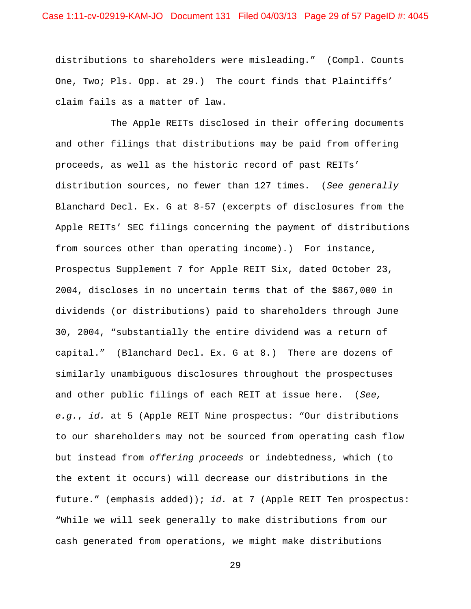distributions to shareholders were misleading." (Compl. Counts One, Two; Pls. Opp. at 29.) The court finds that Plaintiffs' claim fails as a matter of law.

 The Apple REITs disclosed in their offering documents and other filings that distributions may be paid from offering proceeds, as well as the historic record of past REITs' distribution sources, no fewer than 127 times. (*See generally* Blanchard Decl. Ex. G at 8-57 (excerpts of disclosures from the Apple REITs' SEC filings concerning the payment of distributions from sources other than operating income).) For instance, Prospectus Supplement 7 for Apple REIT Six, dated October 23, 2004, discloses in no uncertain terms that of the \$867,000 in dividends (or distributions) paid to shareholders through June 30, 2004, "substantially the entire dividend was a return of capital." (Blanchard Decl. Ex. G at 8.) There are dozens of similarly unambiguous disclosures throughout the prospectuses and other public filings of each REIT at issue here. (*See, e.g.*, *id.* at 5 (Apple REIT Nine prospectus: "Our distributions to our shareholders may not be sourced from operating cash flow but instead from *offering proceeds* or indebtedness, which (to the extent it occurs) will decrease our distributions in the future." (emphasis added)); *id.* at 7 (Apple REIT Ten prospectus: "While we will seek generally to make distributions from our cash generated from operations, we might make distributions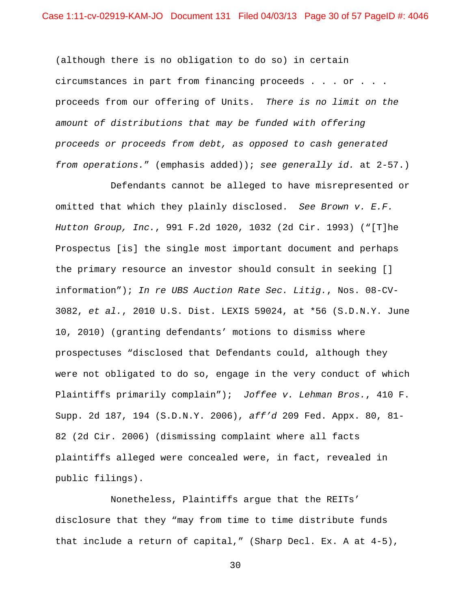(although there is no obligation to do so) in certain circumstances in part from financing proceeds . . . or . . . proceeds from our offering of Units. *There is no limit on the amount of distributions that may be funded with offering proceeds or proceeds from debt, as opposed to cash generated from operations.*" (emphasis added)); *see generally id.* at 2-57.)

 Defendants cannot be alleged to have misrepresented or omitted that which they plainly disclosed. *See Brown v. E.F. Hutton Group, Inc.*, 991 F.2d 1020, 1032 (2d Cir. 1993) ("[T]he Prospectus [is] the single most important document and perhaps the primary resource an investor should consult in seeking [] information"); *In re UBS Auction Rate Sec. Litig.*, Nos. 08-CV-3082, *et al.*, 2010 U.S. Dist. LEXIS 59024, at \*56 (S.D.N.Y. June 10, 2010) (granting defendants' motions to dismiss where prospectuses "disclosed that Defendants could, although they were not obligated to do so, engage in the very conduct of which Plaintiffs primarily complain"); *Joffee v. Lehman Bros.*, 410 F. Supp. 2d 187, 194 (S.D.N.Y. 2006), *aff'd* 209 Fed. Appx. 80, 81- 82 (2d Cir. 2006) (dismissing complaint where all facts plaintiffs alleged were concealed were, in fact, revealed in public filings).

 Nonetheless, Plaintiffs argue that the REITs' disclosure that they "may from time to time distribute funds that include a return of capital," (Sharp Decl. Ex. A at 4-5),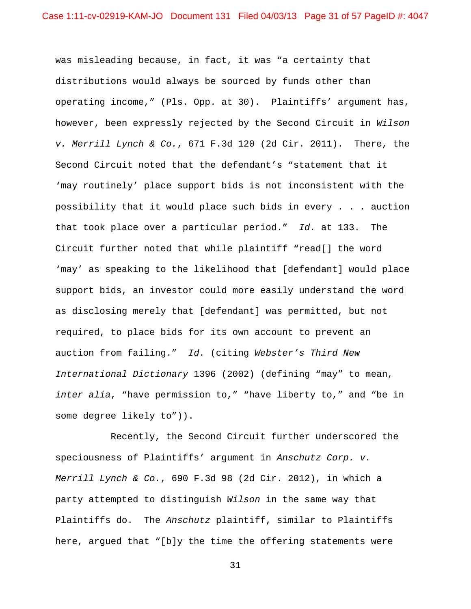was misleading because, in fact, it was "a certainty that distributions would always be sourced by funds other than operating income," (Pls. Opp. at 30). Plaintiffs' argument has, however, been expressly rejected by the Second Circuit in *Wilson v. Merrill Lynch & Co.*, 671 F.3d 120 (2d Cir. 2011). There, the Second Circuit noted that the defendant's "statement that it 'may routinely' place support bids is not inconsistent with the possibility that it would place such bids in every . . . auction that took place over a particular period." *Id.* at 133. The Circuit further noted that while plaintiff "read[] the word 'may' as speaking to the likelihood that [defendant] would place support bids, an investor could more easily understand the word as disclosing merely that [defendant] was permitted, but not required, to place bids for its own account to prevent an auction from failing." *Id.* (citing *Webster's Third New International Dictionary* 1396 (2002) (defining "may" to mean, *inter alia*, "have permission to," "have liberty to," and "be in some degree likely to")).

 Recently, the Second Circuit further underscored the speciousness of Plaintiffs' argument in *Anschutz Corp. v. Merrill Lynch & Co.*, 690 F.3d 98 (2d Cir. 2012), in which a party attempted to distinguish *Wilson* in the same way that Plaintiffs do. The *Anschutz* plaintiff, similar to Plaintiffs here, argued that "[b]y the time the offering statements were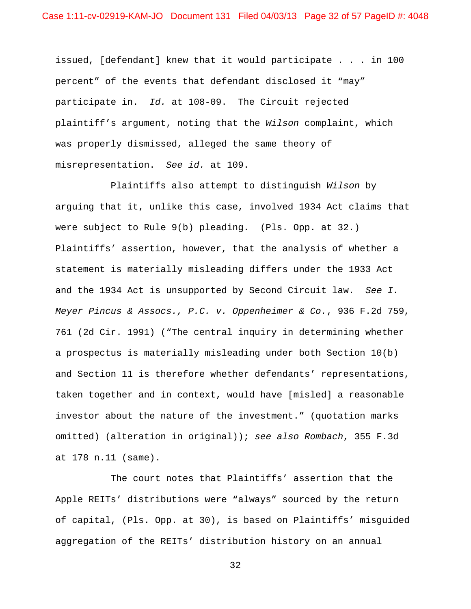issued, [defendant] knew that it would participate . . . in 100 percent" of the events that defendant disclosed it "may" participate in. *Id.* at 108-09. The Circuit rejected plaintiff's argument, noting that the *Wilson* complaint, which was properly dismissed, alleged the same theory of misrepresentation. *See id.* at 109.

 Plaintiffs also attempt to distinguish *Wilson* by arguing that it, unlike this case, involved 1934 Act claims that were subject to Rule 9(b) pleading. (Pls. Opp. at 32.) Plaintiffs' assertion, however, that the analysis of whether a statement is materially misleading differs under the 1933 Act and the 1934 Act is unsupported by Second Circuit law. *See I. Meyer Pincus & Assocs., P.C. v. Oppenheimer & Co.*, 936 F.2d 759, 761 (2d Cir. 1991) ("The central inquiry in determining whether a prospectus is materially misleading under both Section 10(b) and Section 11 is therefore whether defendants' representations, taken together and in context, would have [misled] a reasonable investor about the nature of the investment." (quotation marks omitted) (alteration in original)); *see also Rombach*, 355 F.3d at 178 n.11 (same).

 The court notes that Plaintiffs' assertion that the Apple REITs' distributions were "always" sourced by the return of capital, (Pls. Opp. at 30), is based on Plaintiffs' misguided aggregation of the REITs' distribution history on an annual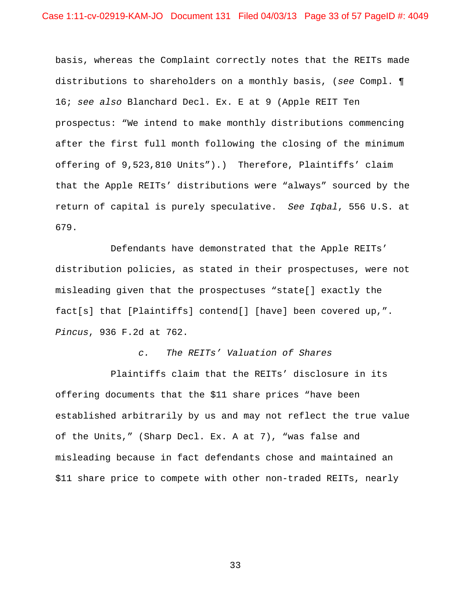basis, whereas the Complaint correctly notes that the REITs made distributions to shareholders on a monthly basis, (*see* Compl. ¶ 16; *see also* Blanchard Decl. Ex. E at 9 (Apple REIT Ten prospectus: "We intend to make monthly distributions commencing after the first full month following the closing of the minimum offering of 9,523,810 Units").) Therefore, Plaintiffs' claim that the Apple REITs' distributions were "always" sourced by the return of capital is purely speculative. *See Iqbal*, 556 U.S. at 679.

 Defendants have demonstrated that the Apple REITs' distribution policies, as stated in their prospectuses, were not misleading given that the prospectuses "state[] exactly the fact[s] that [Plaintiffs] contend[] [have] been covered up,". *Pincus*, 936 F.2d at 762.

# *c. The REITs' Valuation of Shares*

 Plaintiffs claim that the REITs' disclosure in its offering documents that the \$11 share prices "have been established arbitrarily by us and may not reflect the true value of the Units," (Sharp Decl. Ex. A at 7), "was false and misleading because in fact defendants chose and maintained an \$11 share price to compete with other non-traded REITs, nearly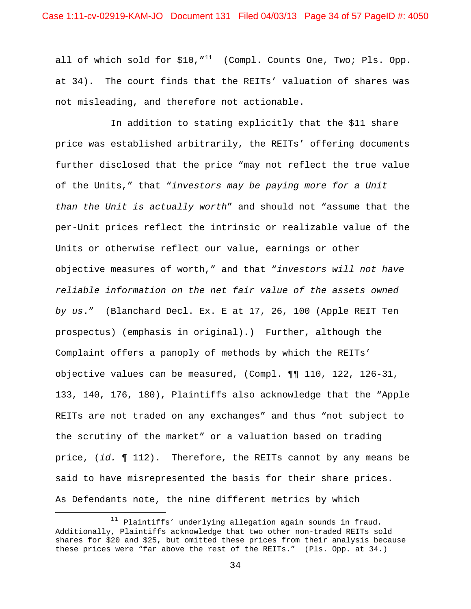all of which sold for  $$10,$   $''^{11}$  (Compl. Counts One, Two; Pls. Opp. at 34). The court finds that the REITs' valuation of shares was not misleading, and therefore not actionable.

 In addition to stating explicitly that the \$11 share price was established arbitrarily, the REITs' offering documents further disclosed that the price "may not reflect the true value of the Units," that "*investors may be paying more for a Unit than the Unit is actually worth*" and should not "assume that the per-Unit prices reflect the intrinsic or realizable value of the Units or otherwise reflect our value, earnings or other objective measures of worth," and that "*investors will not have reliable information on the net fair value of the assets owned by us*." (Blanchard Decl. Ex. E at 17, 26, 100 (Apple REIT Ten prospectus) (emphasis in original).) Further, although the Complaint offers a panoply of methods by which the REITs' objective values can be measured, (Compl. ¶¶ 110, 122, 126-31, 133, 140, 176, 180), Plaintiffs also acknowledge that the "Apple REITs are not traded on any exchanges" and thus "not subject to the scrutiny of the market" or a valuation based on trading price, (*id.* ¶ 112). Therefore, the REITs cannot by any means be said to have misrepresented the basis for their share prices. As Defendants note, the nine different metrics by which

 $\overline{a}$ 

<sup>&</sup>lt;sup>11</sup> Plaintiffs' underlying allegation again sounds in fraud. Additionally, Plaintiffs acknowledge that two other non-traded REITs sold shares for \$20 and \$25, but omitted these prices from their analysis because these prices were "far above the rest of the REITs." (Pls. Opp. at 34.)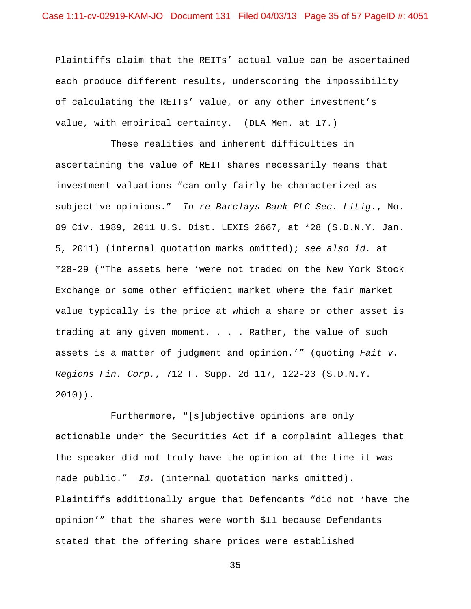Plaintiffs claim that the REITs' actual value can be ascertained each produce different results, underscoring the impossibility of calculating the REITs' value, or any other investment's value, with empirical certainty. (DLA Mem. at 17.)

 These realities and inherent difficulties in ascertaining the value of REIT shares necessarily means that investment valuations "can only fairly be characterized as subjective opinions." *In re Barclays Bank PLC Sec. Litig.*, No. 09 Civ. 1989, 2011 U.S. Dist. LEXIS 2667, at \*28 (S.D.N.Y. Jan. 5, 2011) (internal quotation marks omitted); *see also id.* at \*28-29 ("The assets here 'were not traded on the New York Stock Exchange or some other efficient market where the fair market value typically is the price at which a share or other asset is trading at any given moment. . . . Rather, the value of such assets is a matter of judgment and opinion.'" (quoting *Fait v. Regions Fin. Corp.*, 712 F. Supp. 2d 117, 122-23 (S.D.N.Y. 2010)).

 Furthermore, "[s]ubjective opinions are only actionable under the Securities Act if a complaint alleges that the speaker did not truly have the opinion at the time it was made public." *Id.* (internal quotation marks omitted). Plaintiffs additionally argue that Defendants "did not 'have the opinion'" that the shares were worth \$11 because Defendants stated that the offering share prices were established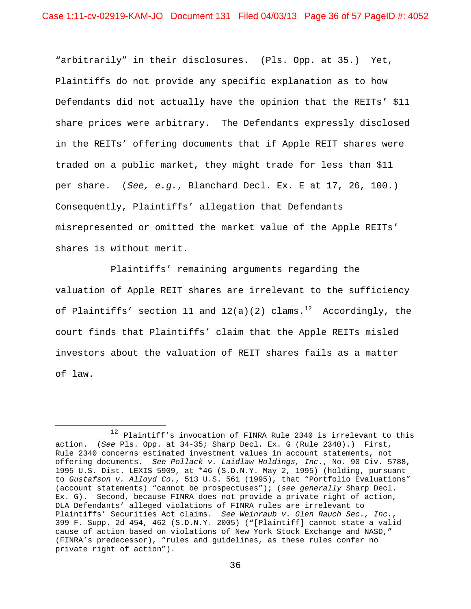"arbitrarily" in their disclosures. (Pls. Opp. at 35.) Yet, Plaintiffs do not provide any specific explanation as to how Defendants did not actually have the opinion that the REITs' \$11 share prices were arbitrary. The Defendants expressly disclosed in the REITs' offering documents that if Apple REIT shares were traded on a public market, they might trade for less than \$11 per share. (*See, e.g.*, Blanchard Decl. Ex. E at 17, 26, 100.) Consequently, Plaintiffs' allegation that Defendants misrepresented or omitted the market value of the Apple REITs' shares is without merit.

 Plaintiffs' remaining arguments regarding the valuation of Apple REIT shares are irrelevant to the sufficiency of Plaintiffs' section 11 and  $12(a)(2)$  clams.<sup>12</sup> Accordingly, the court finds that Plaintiffs' claim that the Apple REITs misled investors about the valuation of REIT shares fails as a matter of law.

 $\overline{a}$ 

<sup>&</sup>lt;sup>12</sup> Plaintiff's invocation of FINRA Rule 2340 is irrelevant to this action. (*See* Pls. Opp. at 34-35; Sharp Decl. Ex. G (Rule 2340).) First, Rule 2340 concerns estimated investment values in account statements, not offering documents. *See Pollack v. Laidlaw Holdings, Inc.*, No. 90 Civ. 5788, 1995 U.S. Dist. LEXIS 5909, at \*46 (S.D.N.Y. May 2, 1995) (holding, pursuant to *Gustafson v. Alloyd Co.*, 513 U.S. 561 (1995), that "Portfolio Evaluations" (account statements) "cannot be prospectuses"); (*see generally* Sharp Decl. Ex. G). Second, because FINRA does not provide a private right of action, DLA Defendants' alleged violations of FINRA rules are irrelevant to Plaintiffs' Securities Act claims. *See Weinraub v. Glen Rauch Sec., Inc.*, 399 F. Supp. 2d 454, 462 (S.D.N.Y. 2005) ("[Plaintiff] cannot state a valid cause of action based on violations of New York Stock Exchange and NASD," (FINRA's predecessor), "rules and guidelines, as these rules confer no private right of action").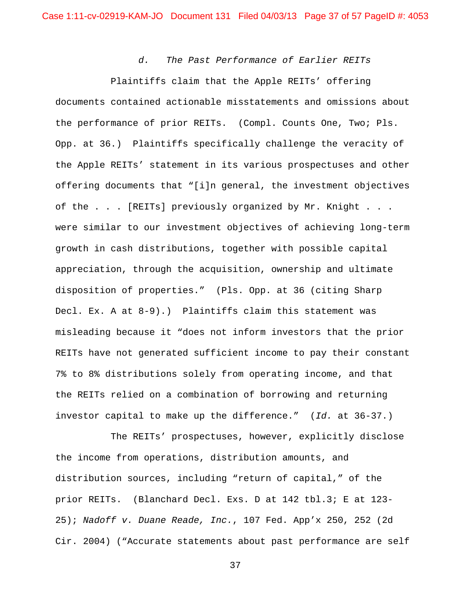*d. The Past Performance of Earlier REITs* 

 Plaintiffs claim that the Apple REITs' offering documents contained actionable misstatements and omissions about the performance of prior REITs. (Compl. Counts One, Two; Pls. Opp. at 36.) Plaintiffs specifically challenge the veracity of the Apple REITs' statement in its various prospectuses and other offering documents that "[i]n general, the investment objectives of the . . . [REITs] previously organized by Mr. Knight . . . were similar to our investment objectives of achieving long-term growth in cash distributions, together with possible capital appreciation, through the acquisition, ownership and ultimate disposition of properties." (Pls. Opp. at 36 (citing Sharp Decl. Ex. A at 8-9).) Plaintiffs claim this statement was misleading because it "does not inform investors that the prior REITs have not generated sufficient income to pay their constant 7% to 8% distributions solely from operating income, and that the REITs relied on a combination of borrowing and returning investor capital to make up the difference." (*Id.* at 36-37.)

 The REITs' prospectuses, however, explicitly disclose the income from operations, distribution amounts, and distribution sources, including "return of capital," of the prior REITs. (Blanchard Decl. Exs. D at 142 tbl.3; E at 123- 25); *Nadoff v. Duane Reade, Inc.*, 107 Fed. App'x 250, 252 (2d Cir. 2004) ("Accurate statements about past performance are self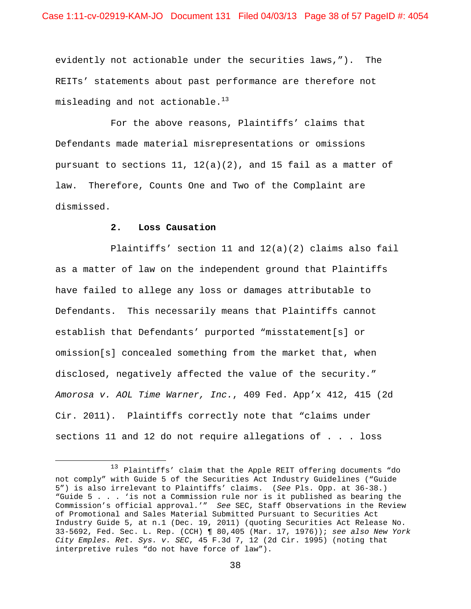evidently not actionable under the securities laws,"). The REITs' statements about past performance are therefore not misleading and not actionable. $^{13}$ 

 For the above reasons, Plaintiffs' claims that Defendants made material misrepresentations or omissions pursuant to sections  $11, 12(a)(2)$ , and 15 fail as a matter of law. Therefore, Counts One and Two of the Complaint are dismissed.

### **2. Loss Causation**

 $\overline{a}$ 

 Plaintiffs' section 11 and 12(a)(2) claims also fail as a matter of law on the independent ground that Plaintiffs have failed to allege any loss or damages attributable to Defendants. This necessarily means that Plaintiffs cannot establish that Defendants' purported "misstatement[s] or omission[s] concealed something from the market that, when disclosed, negatively affected the value of the security." *Amorosa v. AOL Time Warner, Inc.*, 409 Fed. App'x 412, 415 (2d Cir. 2011). Plaintiffs correctly note that "claims under sections 11 and 12 do not require allegations of . . . loss

<sup>13</sup> Plaintiffs' claim that the Apple REIT offering documents "do not comply" with Guide 5 of the Securities Act Industry Guidelines ("Guide 5") is also irrelevant to Plaintiffs' claims. (*See* Pls. Opp. at 36-38.) "Guide 5 . . . 'is not a Commission rule nor is it published as bearing the Commission's official approval.'" *See* SEC, Staff Observations in the Review of Promotional and Sales Material Submitted Pursuant to Securities Act Industry Guide 5, at n.1 (Dec. 19, 2011) (quoting Securities Act Release No. 33-5692, Fed. Sec. L. Rep. (CCH) ¶ 80,405 (Mar. 17, 1976)); *see also New York City Emples. Ret. Sys. v. SEC*, 45 F.3d 7, 12 (2d Cir. 1995) (noting that interpretive rules "do not have force of law").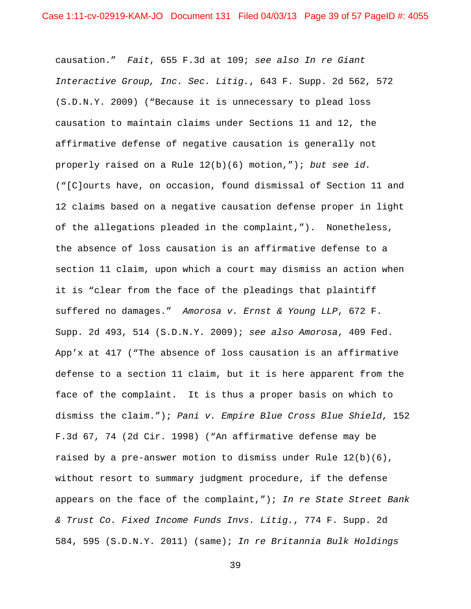causation." *Fait*, 655 F.3d at 109; *see also In re Giant Interactive Group, Inc. Sec. Litig.*, 643 F. Supp. 2d 562, 572 (S.D.N.Y. 2009) ("Because it is unnecessary to plead loss causation to maintain claims under Sections 11 and 12, the affirmative defense of negative causation is generally not properly raised on a Rule 12(b)(6) motion,"); *but see id.* ("[C]ourts have, on occasion, found dismissal of Section 11 and 12 claims based on a negative causation defense proper in light of the allegations pleaded in the complaint,"). Nonetheless, the absence of loss causation is an affirmative defense to a section 11 claim, upon which a court may dismiss an action when it is "clear from the face of the pleadings that plaintiff suffered no damages." *Amorosa v. Ernst & Young LLP*, 672 F. Supp. 2d 493, 514 (S.D.N.Y. 2009); *see also Amorosa*, 409 Fed. App'x at 417 ("The absence of loss causation is an affirmative defense to a section 11 claim, but it is here apparent from the face of the complaint. It is thus a proper basis on which to dismiss the claim."); *Pani v. Empire Blue Cross Blue Shield*, 152 F.3d 67, 74 (2d Cir. 1998) ("An affirmative defense may be raised by a pre-answer motion to dismiss under Rule  $12(b)(6)$ , without resort to summary judgment procedure, if the defense appears on the face of the complaint,"); *In re State Street Bank & Trust Co. Fixed Income Funds Invs. Litig.*, 774 F. Supp. 2d 584, 595 (S.D.N.Y. 2011) (same); *In re Britannia Bulk Holdings*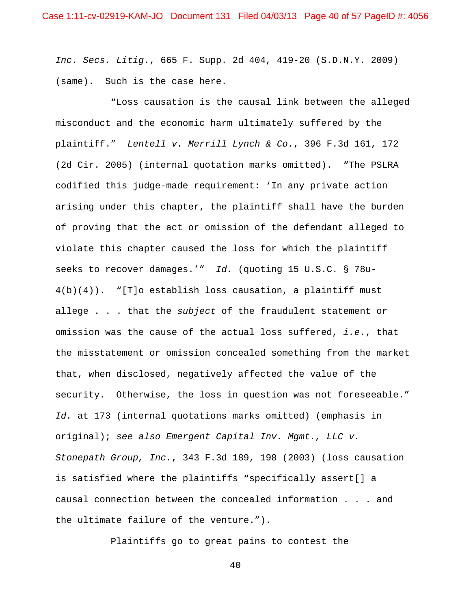*Inc. Secs. Litig.*, 665 F. Supp. 2d 404, 419-20 (S.D.N.Y. 2009) (same). Such is the case here.

 "Loss causation is the causal link between the alleged misconduct and the economic harm ultimately suffered by the plaintiff." *Lentell v. Merrill Lynch & Co.*, 396 F.3d 161, 172 (2d Cir. 2005) (internal quotation marks omitted). "The PSLRA codified this judge-made requirement: 'In any private action arising under this chapter, the plaintiff shall have the burden of proving that the act or omission of the defendant alleged to violate this chapter caused the loss for which the plaintiff seeks to recover damages.'" *Id.* (quoting 15 U.S.C. § 78u- $4(b)(4)$ ). "[T]o establish loss causation, a plaintiff must allege . . . that the *subject* of the fraudulent statement or omission was the cause of the actual loss suffered, *i.e.*, that the misstatement or omission concealed something from the market that, when disclosed, negatively affected the value of the security. Otherwise, the loss in question was not foreseeable." *Id.* at 173 (internal quotations marks omitted) (emphasis in original); *see also Emergent Capital Inv. Mgmt., LLC v. Stonepath Group, Inc.*, 343 F.3d 189, 198 (2003) (loss causation is satisfied where the plaintiffs "specifically assert[] a causal connection between the concealed information . . . and the ultimate failure of the venture.").

Plaintiffs go to great pains to contest the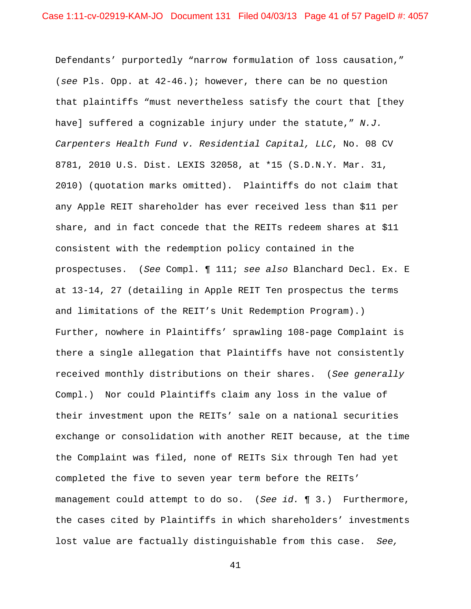Defendants' purportedly "narrow formulation of loss causation," (*see* Pls. Opp. at 42-46.); however, there can be no question that plaintiffs "must nevertheless satisfy the court that [they have] suffered a cognizable injury under the statute," *N.J. Carpenters Health Fund v. Residential Capital, LLC*, No. 08 CV 8781, 2010 U.S. Dist. LEXIS 32058, at \*15 (S.D.N.Y. Mar. 31, 2010) (quotation marks omitted). Plaintiffs do not claim that any Apple REIT shareholder has ever received less than \$11 per share, and in fact concede that the REITs redeem shares at \$11 consistent with the redemption policy contained in the prospectuses. (*See* Compl. ¶ 111; *see also* Blanchard Decl. Ex. E at 13-14, 27 (detailing in Apple REIT Ten prospectus the terms and limitations of the REIT's Unit Redemption Program).) Further, nowhere in Plaintiffs' sprawling 108-page Complaint is there a single allegation that Plaintiffs have not consistently received monthly distributions on their shares. (*See generally* Compl.) Nor could Plaintiffs claim any loss in the value of their investment upon the REITs' sale on a national securities exchange or consolidation with another REIT because, at the time the Complaint was filed, none of REITs Six through Ten had yet completed the five to seven year term before the REITs' management could attempt to do so. (*See id.* ¶ 3.) Furthermore, the cases cited by Plaintiffs in which shareholders' investments lost value are factually distinguishable from this case. *See,*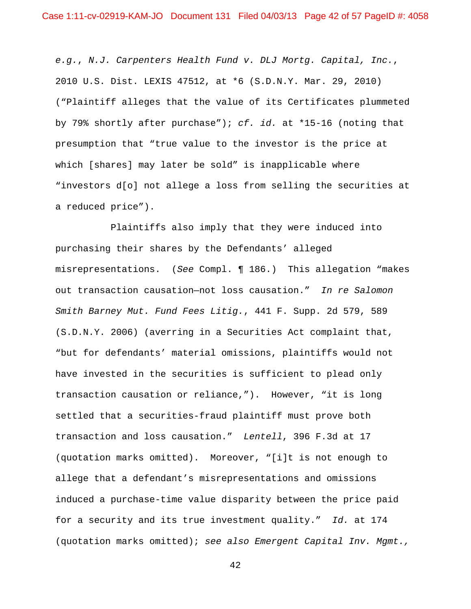*e.g.*, *N.J. Carpenters Health Fund v. DLJ Mortg. Capital, Inc.*, 2010 U.S. Dist. LEXIS 47512, at \*6 (S.D.N.Y. Mar. 29, 2010) ("Plaintiff alleges that the value of its Certificates plummeted by 79% shortly after purchase"); *cf. id.* at \*15-16 (noting that presumption that "true value to the investor is the price at which [shares] may later be sold" is inapplicable where "investors d[o] not allege a loss from selling the securities at a reduced price").

 Plaintiffs also imply that they were induced into purchasing their shares by the Defendants' alleged misrepresentations. (*See* Compl. ¶ 186.) This allegation "makes out transaction causation—not loss causation." *In re Salomon Smith Barney Mut. Fund Fees Litig.*, 441 F. Supp. 2d 579, 589 (S.D.N.Y. 2006) (averring in a Securities Act complaint that, "but for defendants' material omissions, plaintiffs would not have invested in the securities is sufficient to plead only transaction causation or reliance,"). However, "it is long settled that a securities-fraud plaintiff must prove both transaction and loss causation." *Lentell*, 396 F.3d at 17 (quotation marks omitted). Moreover, "[i]t is not enough to allege that a defendant's misrepresentations and omissions induced a purchase-time value disparity between the price paid for a security and its true investment quality." *Id.* at 174 (quotation marks omitted); *see also Emergent Capital Inv. Mgmt.,*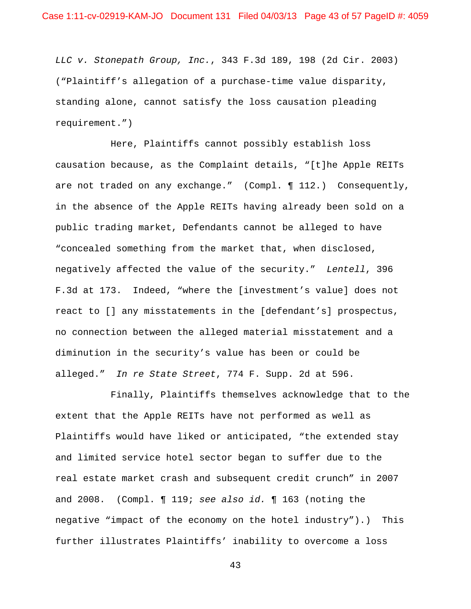*LLC v. Stonepath Group, Inc.*, 343 F.3d 189, 198 (2d Cir. 2003) ("Plaintiff's allegation of a purchase-time value disparity, standing alone, cannot satisfy the loss causation pleading requirement.")

 Here, Plaintiffs cannot possibly establish loss causation because, as the Complaint details, "[t]he Apple REITs are not traded on any exchange." (Compl. 112.) Consequently, in the absence of the Apple REITs having already been sold on a public trading market, Defendants cannot be alleged to have "concealed something from the market that, when disclosed, negatively affected the value of the security." *Lentell*, 396 F.3d at 173. Indeed, "where the [investment's value] does not react to [] any misstatements in the [defendant's] prospectus, no connection between the alleged material misstatement and a diminution in the security's value has been or could be alleged." *In re State Street*, 774 F. Supp. 2d at 596.

 Finally, Plaintiffs themselves acknowledge that to the extent that the Apple REITs have not performed as well as Plaintiffs would have liked or anticipated, "the extended stay and limited service hotel sector began to suffer due to the real estate market crash and subsequent credit crunch" in 2007 and 2008. (Compl. ¶ 119; *see also id.* ¶ 163 (noting the negative "impact of the economy on the hotel industry").) This further illustrates Plaintiffs' inability to overcome a loss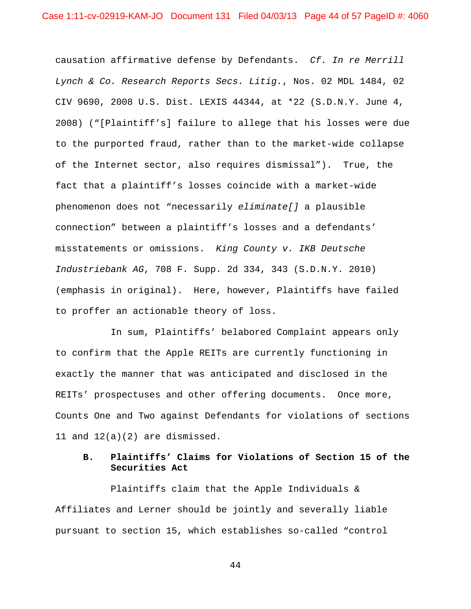causation affirmative defense by Defendants. *Cf. In re Merrill Lynch & Co. Research Reports Secs. Litig.*, Nos. 02 MDL 1484, 02 CIV 9690, 2008 U.S. Dist. LEXIS 44344, at \*22 (S.D.N.Y. June 4, 2008) ("[Plaintiff's] failure to allege that his losses were due to the purported fraud, rather than to the market-wide collapse of the Internet sector, also requires dismissal"). True, the fact that a plaintiff's losses coincide with a market-wide phenomenon does not "necessarily *eliminate[]* a plausible connection" between a plaintiff's losses and a defendants' misstatements or omissions. *King County v. IKB Deutsche Industriebank AG*, 708 F. Supp. 2d 334, 343 (S.D.N.Y. 2010) (emphasis in original). Here, however, Plaintiffs have failed to proffer an actionable theory of loss.

 In sum, Plaintiffs' belabored Complaint appears only to confirm that the Apple REITs are currently functioning in exactly the manner that was anticipated and disclosed in the REITs' prospectuses and other offering documents. Once more, Counts One and Two against Defendants for violations of sections 11 and 12(a)(2) are dismissed.

# **B. Plaintiffs' Claims for Violations of Section 15 of the Securities Act**

 Plaintiffs claim that the Apple Individuals & Affiliates and Lerner should be jointly and severally liable pursuant to section 15, which establishes so-called "control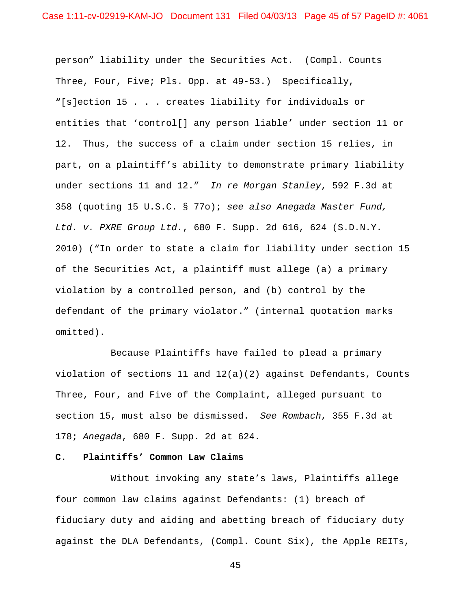person" liability under the Securities Act. (Compl. Counts Three, Four, Five; Pls. Opp. at 49-53.) Specifically, "[s]ection 15 . . . creates liability for individuals or entities that 'control[] any person liable' under section 11 or 12. Thus, the success of a claim under section 15 relies, in part, on a plaintiff's ability to demonstrate primary liability under sections 11 and 12." *In re Morgan Stanley*, 592 F.3d at 358 (quoting 15 U.S.C. § 77o); *see also Anegada Master Fund, Ltd. v. PXRE Group Ltd.*, 680 F. Supp. 2d 616, 624 (S.D.N.Y. 2010) ("In order to state a claim for liability under section 15 of the Securities Act, a plaintiff must allege (a) a primary violation by a controlled person, and (b) control by the defendant of the primary violator." (internal quotation marks omitted).

 Because Plaintiffs have failed to plead a primary violation of sections 11 and  $12(a)(2)$  against Defendants, Counts Three, Four, and Five of the Complaint, alleged pursuant to section 15, must also be dismissed. *See Rombach*, 355 F.3d at 178; *Anegada*, 680 F. Supp. 2d at 624.

## **C. Plaintiffs' Common Law Claims**

 Without invoking any state's laws, Plaintiffs allege four common law claims against Defendants: (1) breach of fiduciary duty and aiding and abetting breach of fiduciary duty against the DLA Defendants, (Compl. Count Six), the Apple REITs,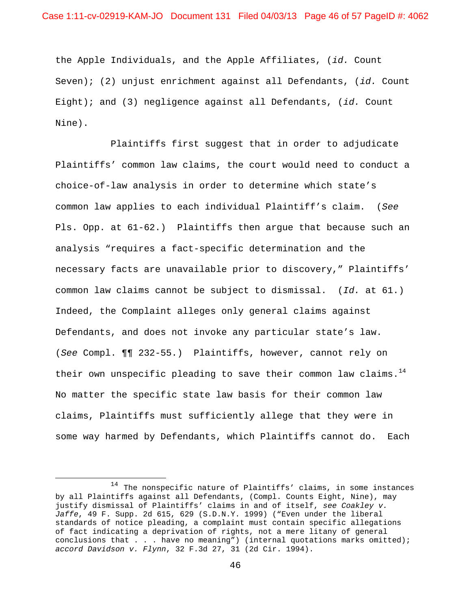the Apple Individuals, and the Apple Affiliates, (*id.* Count Seven); (2) unjust enrichment against all Defendants, (*id.* Count Eight); and (3) negligence against all Defendants, (*id.* Count Nine).

 Plaintiffs first suggest that in order to adjudicate Plaintiffs' common law claims, the court would need to conduct a choice-of-law analysis in order to determine which state's common law applies to each individual Plaintiff's claim. (*See* Pls. Opp. at 61-62.) Plaintiffs then argue that because such an analysis "requires a fact-specific determination and the necessary facts are unavailable prior to discovery," Plaintiffs' common law claims cannot be subject to dismissal. (*Id.* at 61.) Indeed, the Complaint alleges only general claims against Defendants, and does not invoke any particular state's law. (*See* Compl. ¶¶ 232-55.) Plaintiffs, however, cannot rely on their own unspecific pleading to save their common law claims.<sup>14</sup> No matter the specific state law basis for their common law claims, Plaintiffs must sufficiently allege that they were in some way harmed by Defendants, which Plaintiffs cannot do. Each

<u>.</u>

<sup>14</sup> The nonspecific nature of Plaintiffs' claims, in some instances by all Plaintiffs against all Defendants, (Compl. Counts Eight, Nine), may justify dismissal of Plaintiffs' claims in and of itself, *see Coakley v. Jaffe*, 49 F. Supp. 2d 615, 629 (S.D.N.Y. 1999) ("Even under the liberal standards of notice pleading, a complaint must contain specific allegations of fact indicating a deprivation of rights, not a mere litany of general conclusions that . . . have no meaning") (internal quotations marks omitted); *accord Davidson v. Flynn*, 32 F.3d 27, 31 (2d Cir. 1994).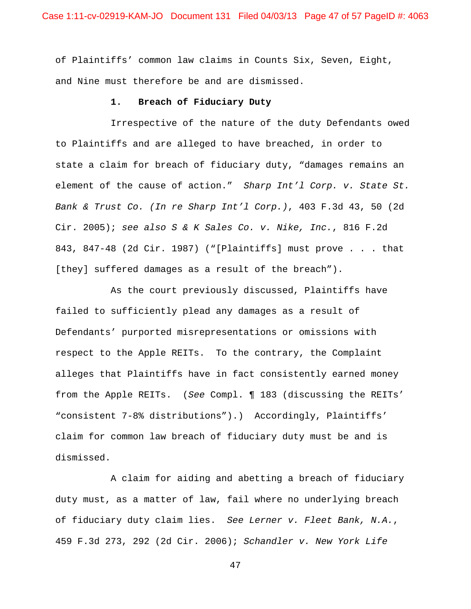of Plaintiffs' common law claims in Counts Six, Seven, Eight, and Nine must therefore be and are dismissed.

## **1. Breach of Fiduciary Duty**

 Irrespective of the nature of the duty Defendants owed to Plaintiffs and are alleged to have breached, in order to state a claim for breach of fiduciary duty, "damages remains an element of the cause of action." *Sharp Int'l Corp. v. State St. Bank & Trust Co. (In re Sharp Int'l Corp.)*, 403 F.3d 43, 50 (2d Cir. 2005); *see also S & K Sales Co. v. Nike, Inc.*, 816 F.2d 843, 847-48 (2d Cir. 1987) ("[Plaintiffs] must prove . . . that [they] suffered damages as a result of the breach").

 As the court previously discussed, Plaintiffs have failed to sufficiently plead any damages as a result of Defendants' purported misrepresentations or omissions with respect to the Apple REITs. To the contrary, the Complaint alleges that Plaintiffs have in fact consistently earned money from the Apple REITs. (*See* Compl. ¶ 183 (discussing the REITs' "consistent 7-8% distributions").) Accordingly, Plaintiffs' claim for common law breach of fiduciary duty must be and is dismissed.

 A claim for aiding and abetting a breach of fiduciary duty must, as a matter of law, fail where no underlying breach of fiduciary duty claim lies. *See Lerner v. Fleet Bank, N.A.*, 459 F.3d 273, 292 (2d Cir. 2006); *Schandler v. New York Life*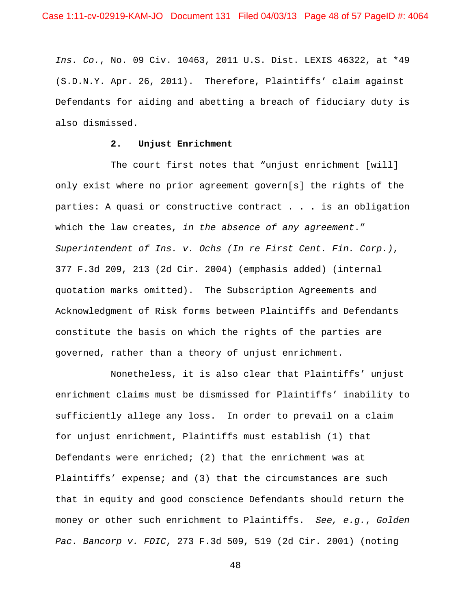*Ins. Co.*, No. 09 Civ. 10463, 2011 U.S. Dist. LEXIS 46322, at \*49 (S.D.N.Y. Apr. 26, 2011). Therefore, Plaintiffs' claim against Defendants for aiding and abetting a breach of fiduciary duty is also dismissed.

## **2. Unjust Enrichment**

The court first notes that "unjust enrichment [will] only exist where no prior agreement govern[s] the rights of the parties: A quasi or constructive contract . . . is an obligation which the law creates, *in the absence of any agreement*." *Superintendent of Ins. v. Ochs (In re First Cent. Fin. Corp.)*, 377 F.3d 209, 213 (2d Cir. 2004) (emphasis added) (internal quotation marks omitted). The Subscription Agreements and Acknowledgment of Risk forms between Plaintiffs and Defendants constitute the basis on which the rights of the parties are governed, rather than a theory of unjust enrichment.

 Nonetheless, it is also clear that Plaintiffs' unjust enrichment claims must be dismissed for Plaintiffs' inability to sufficiently allege any loss. In order to prevail on a claim for unjust enrichment, Plaintiffs must establish (1) that Defendants were enriched; (2) that the enrichment was at Plaintiffs' expense; and (3) that the circumstances are such that in equity and good conscience Defendants should return the money or other such enrichment to Plaintiffs. *See, e.g.*, *Golden Pac. Bancorp v. FDIC*, 273 F.3d 509, 519 (2d Cir. 2001) (noting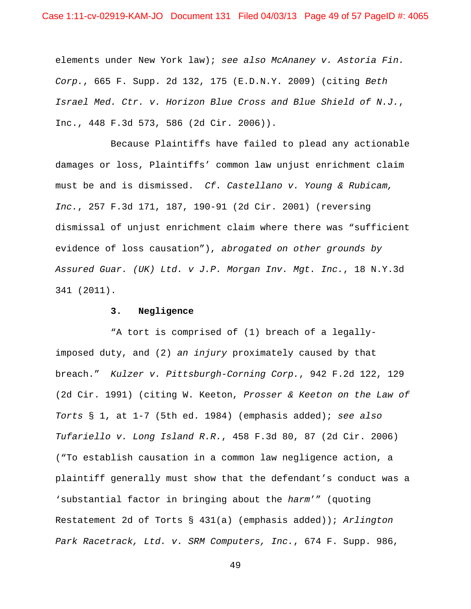elements under New York law); *see also McAnaney v. Astoria Fin. Corp.*, 665 F. Supp. 2d 132, 175 (E.D.N.Y. 2009) (citing *Beth Israel Med. Ctr. v. Horizon Blue Cross and Blue Shield of N.J.*, Inc., 448 F.3d 573, 586 (2d Cir. 2006)).

 Because Plaintiffs have failed to plead any actionable damages or loss, Plaintiffs' common law unjust enrichment claim must be and is dismissed. *Cf. Castellano v. Young & Rubicam, Inc.*, 257 F.3d 171, 187, 190-91 (2d Cir. 2001) (reversing dismissal of unjust enrichment claim where there was "sufficient evidence of loss causation"), *abrogated on other grounds by Assured Guar. (UK) Ltd. v J.P. Morgan Inv. Mgt. Inc.*, 18 N.Y.3d 341 (2011).

### **3. Negligence**

 "A tort is comprised of (1) breach of a legallyimposed duty, and (2) *an injury* proximately caused by that breach." *Kulzer v. Pittsburgh-Corning Corp.*, 942 F.2d 122, 129 (2d Cir. 1991) (citing W. Keeton, *Prosser & Keeton on the Law of Torts* § 1, at 1-7 (5th ed. 1984) (emphasis added); *see also Tufariello v. Long Island R.R.*, 458 F.3d 80, 87 (2d Cir. 2006) ("To establish causation in a common law negligence action, a plaintiff generally must show that the defendant's conduct was a 'substantial factor in bringing about the *harm*'" (quoting Restatement 2d of Torts § 431(a) (emphasis added)); *Arlington Park Racetrack, Ltd. v. SRM Computers, Inc.*, 674 F. Supp. 986,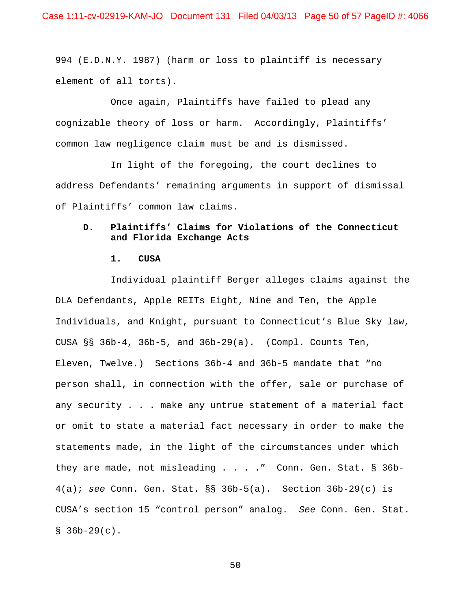994 (E.D.N.Y. 1987) (harm or loss to plaintiff is necessary element of all torts).

 Once again, Plaintiffs have failed to plead any cognizable theory of loss or harm. Accordingly, Plaintiffs' common law negligence claim must be and is dismissed.

 In light of the foregoing, the court declines to address Defendants' remaining arguments in support of dismissal of Plaintiffs' common law claims.

## **D. Plaintiffs' Claims for Violations of the Connecticut and Florida Exchange Acts**

### **1. CUSA**

 Individual plaintiff Berger alleges claims against the DLA Defendants, Apple REITs Eight, Nine and Ten, the Apple Individuals, and Knight, pursuant to Connecticut's Blue Sky law, CUSA §§ 36b-4, 36b-5, and 36b-29(a). (Compl. Counts Ten, Eleven, Twelve.) Sections 36b-4 and 36b-5 mandate that "no person shall, in connection with the offer, sale or purchase of any security . . . make any untrue statement of a material fact or omit to state a material fact necessary in order to make the statements made, in the light of the circumstances under which they are made, not misleading . . . ." Conn. Gen. Stat. § 36b-4(a); *see* Conn. Gen. Stat. §§ 36b-5(a). Section 36b-29(c) is CUSA's section 15 "control person" analog. *See* Conn. Gen. Stat.  $$36b-29(c)$ .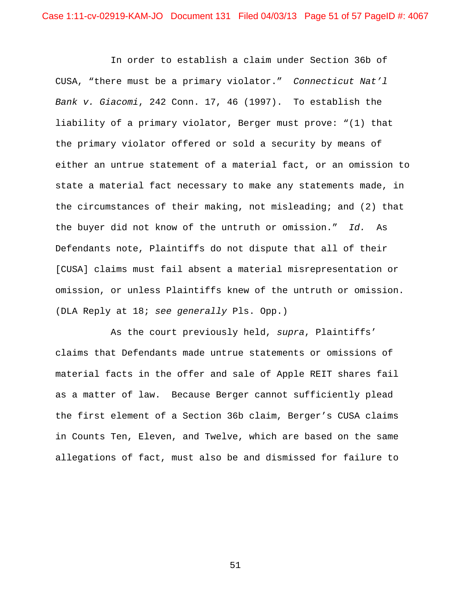In order to establish a claim under Section 36b of CUSA, "there must be a primary violator." *Connecticut Nat'l Bank v. Giacomi*, 242 Conn. 17, 46 (1997). To establish the liability of a primary violator, Berger must prove: "(1) that the primary violator offered or sold a security by means of either an untrue statement of a material fact, or an omission to state a material fact necessary to make any statements made, in the circumstances of their making, not misleading; and (2) that the buyer did not know of the untruth or omission." *Id.* As Defendants note, Plaintiffs do not dispute that all of their [CUSA] claims must fail absent a material misrepresentation or omission, or unless Plaintiffs knew of the untruth or omission. (DLA Reply at 18; *see generally* Pls. Opp.)

 As the court previously held, *supra*, Plaintiffs' claims that Defendants made untrue statements or omissions of material facts in the offer and sale of Apple REIT shares fail as a matter of law. Because Berger cannot sufficiently plead the first element of a Section 36b claim, Berger's CUSA claims in Counts Ten, Eleven, and Twelve, which are based on the same allegations of fact, must also be and dismissed for failure to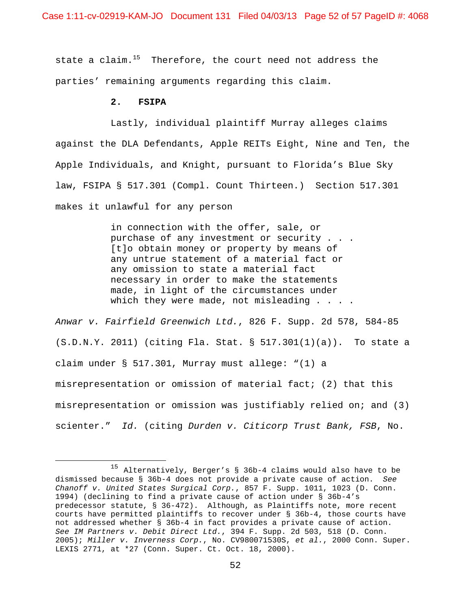Case 1:11-cv-02919-KAM-JO Document 131 Filed 04/03/13 Page 52 of 57 PageID #: 4068

state a claim. $15$  Therefore, the court need not address the parties' remaining arguments regarding this claim.

## **2. FSIPA**

1

 Lastly, individual plaintiff Murray alleges claims against the DLA Defendants, Apple REITs Eight, Nine and Ten, the Apple Individuals, and Knight, pursuant to Florida's Blue Sky law, FSIPA § 517.301 (Compl. Count Thirteen.) Section 517.301 makes it unlawful for any person

> in connection with the offer, sale, or purchase of any investment or security . . . [t]o obtain money or property by means of any untrue statement of a material fact or any omission to state a material fact necessary in order to make the statements made, in light of the circumstances under which they were made, not misleading . . . .

*Anwar v. Fairfield Greenwich Ltd.*, 826 F. Supp. 2d 578, 584-85  $(S.D.N.Y. 2011)$  (citing Fla. Stat. § 517.301(1)(a)). To state a claim under § 517.301, Murray must allege: "(1) a misrepresentation or omission of material fact; (2) that this misrepresentation or omission was justifiably relied on; and (3) scienter." *Id.* (citing *Durden v. Citicorp Trust Bank, FSB*, No.

<sup>15</sup> Alternatively, Berger's § 36b-4 claims would also have to be dismissed because § 36b-4 does not provide a private cause of action. *See Chanoff v. United States Surgical Corp.*, 857 F. Supp. 1011, 1023 (D. Conn. 1994) (declining to find a private cause of action under § 36b-4's predecessor statute, § 36-472). Although, as Plaintiffs note, more recent courts have permitted plaintiffs to recover under § 36b-4, those courts have not addressed whether § 36b-4 in fact provides a private cause of action. *See IM Partners v. Debit Direct Ltd.*, 394 F. Supp. 2d 503, 518 (D. Conn. 2005); *Miller v. Inverness Corp.*, No. CV980071530S, *et al.*, 2000 Conn. Super. LEXIS 2771, at \*27 (Conn. Super. Ct. Oct. 18, 2000).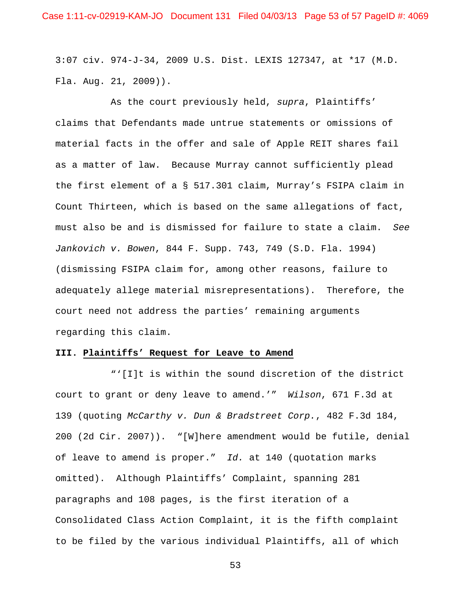3:07 civ. 974-J-34, 2009 U.S. Dist. LEXIS 127347, at \*17 (M.D. Fla. Aug. 21, 2009)).

 As the court previously held, *supra*, Plaintiffs' claims that Defendants made untrue statements or omissions of material facts in the offer and sale of Apple REIT shares fail as a matter of law. Because Murray cannot sufficiently plead the first element of a § 517.301 claim, Murray's FSIPA claim in Count Thirteen, which is based on the same allegations of fact, must also be and is dismissed for failure to state a claim. *See Jankovich v. Bowen*, 844 F. Supp. 743, 749 (S.D. Fla. 1994) (dismissing FSIPA claim for, among other reasons, failure to adequately allege material misrepresentations). Therefore, the court need not address the parties' remaining arguments regarding this claim.

### **III. Plaintiffs' Request for Leave to Amend**

 "'[I]t is within the sound discretion of the district court to grant or deny leave to amend.'" *Wilson*, 671 F.3d at 139 (quoting *McCarthy v. Dun & Bradstreet Corp.*, 482 F.3d 184, 200 (2d Cir. 2007)). "[W]here amendment would be futile, denial of leave to amend is proper." *Id.* at 140 (quotation marks omitted). Although Plaintiffs' Complaint, spanning 281 paragraphs and 108 pages, is the first iteration of a Consolidated Class Action Complaint, it is the fifth complaint to be filed by the various individual Plaintiffs, all of which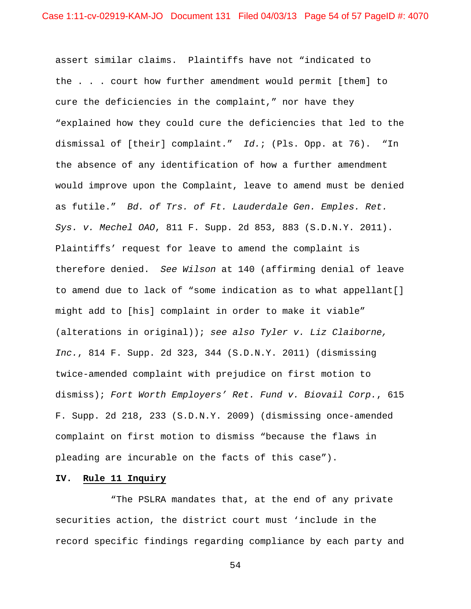assert similar claims. Plaintiffs have not "indicated to the . . . court how further amendment would permit [them] to cure the deficiencies in the complaint," nor have they "explained how they could cure the deficiencies that led to the dismissal of [their] complaint." *Id.*; (Pls. Opp. at 76). "In the absence of any identification of how a further amendment would improve upon the Complaint, leave to amend must be denied as futile." *Bd. of Trs. of Ft. Lauderdale Gen. Emples. Ret. Sys. v. Mechel OAO*, 811 F. Supp. 2d 853, 883 (S.D.N.Y. 2011). Plaintiffs' request for leave to amend the complaint is therefore denied. *See Wilson* at 140 (affirming denial of leave to amend due to lack of "some indication as to what appellant[] might add to [his] complaint in order to make it viable" (alterations in original)); *see also Tyler v. Liz Claiborne, Inc.*, 814 F. Supp. 2d 323, 344 (S.D.N.Y. 2011) (dismissing twice-amended complaint with prejudice on first motion to dismiss); *Fort Worth Employers' Ret. Fund v. Biovail Corp.*, 615 F. Supp. 2d 218, 233 (S.D.N.Y. 2009) (dismissing once-amended complaint on first motion to dismiss "because the flaws in pleading are incurable on the facts of this case").

## **IV. Rule 11 Inquiry**

 "The PSLRA mandates that, at the end of any private securities action, the district court must 'include in the record specific findings regarding compliance by each party and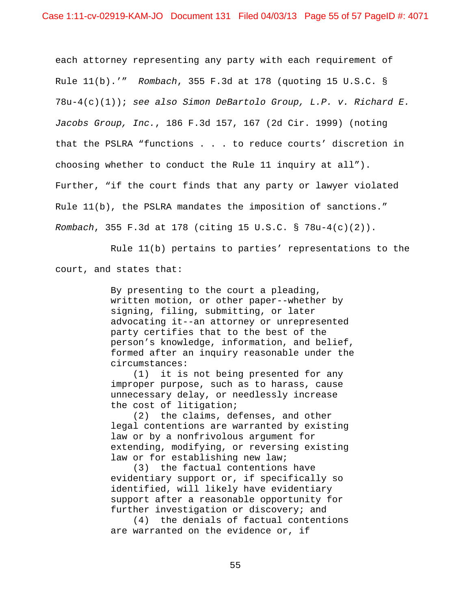each attorney representing any party with each requirement of Rule 11(b).'" *Rombach*, 355 F.3d at 178 (quoting 15 U.S.C. § 78u-4(c)(1)); *see also Simon DeBartolo Group, L.P. v. Richard E. Jacobs Group, Inc.*, 186 F.3d 157, 167 (2d Cir. 1999) (noting that the PSLRA "functions . . . to reduce courts' discretion in choosing whether to conduct the Rule 11 inquiry at all"). Further, "if the court finds that any party or lawyer violated Rule 11(b), the PSLRA mandates the imposition of sanctions." *Rombach*, 355 F.3d at 178 (citing 15 U.S.C. § 78u-4(c)(2)).

 Rule 11(b) pertains to parties' representations to the court, and states that:

> By presenting to the court a pleading, written motion, or other paper--whether by signing, filing, submitting, or later advocating it--an attorney or unrepresented party certifies that to the best of the person's knowledge, information, and belief, formed after an inquiry reasonable under the circumstances:

 (1) it is not being presented for any improper purpose, such as to harass, cause unnecessary delay, or needlessly increase the cost of litigation;

 (2) the claims, defenses, and other legal contentions are warranted by existing law or by a nonfrivolous argument for extending, modifying, or reversing existing law or for establishing new law;

 (3) the factual contentions have evidentiary support or, if specifically so identified, will likely have evidentiary support after a reasonable opportunity for further investigation or discovery; and

 (4) the denials of factual contentions are warranted on the evidence or, if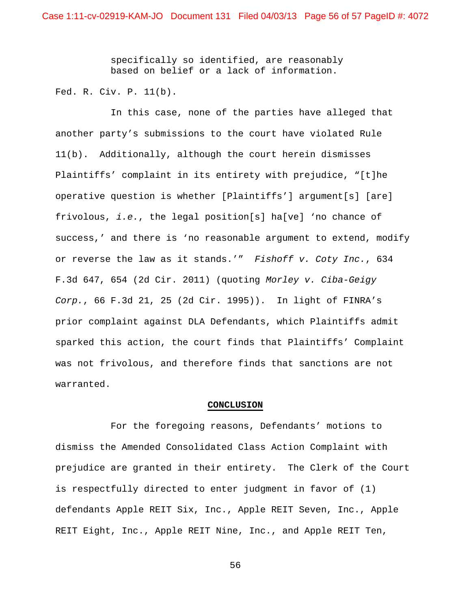specifically so identified, are reasonably based on belief or a lack of information.

Fed. R. Civ. P. 11(b).

 In this case, none of the parties have alleged that another party's submissions to the court have violated Rule 11(b). Additionally, although the court herein dismisses Plaintiffs' complaint in its entirety with prejudice, "[t]he operative question is whether [Plaintiffs'] argument[s] [are] frivolous, *i.e.*, the legal position[s] ha[ve] 'no chance of success,' and there is 'no reasonable argument to extend, modify or reverse the law as it stands.'" *Fishoff v. Coty Inc.*, 634 F.3d 647, 654 (2d Cir. 2011) (quoting *Morley v. Ciba-Geigy Corp.*, 66 F.3d 21, 25 (2d Cir. 1995)). In light of FINRA's prior complaint against DLA Defendants, which Plaintiffs admit sparked this action, the court finds that Plaintiffs' Complaint was not frivolous, and therefore finds that sanctions are not warranted.

#### **CONCLUSION**

 For the foregoing reasons, Defendants' motions to dismiss the Amended Consolidated Class Action Complaint with prejudice are granted in their entirety. The Clerk of the Court is respectfully directed to enter judgment in favor of (1) defendants Apple REIT Six, Inc., Apple REIT Seven, Inc., Apple REIT Eight, Inc., Apple REIT Nine, Inc., and Apple REIT Ten,